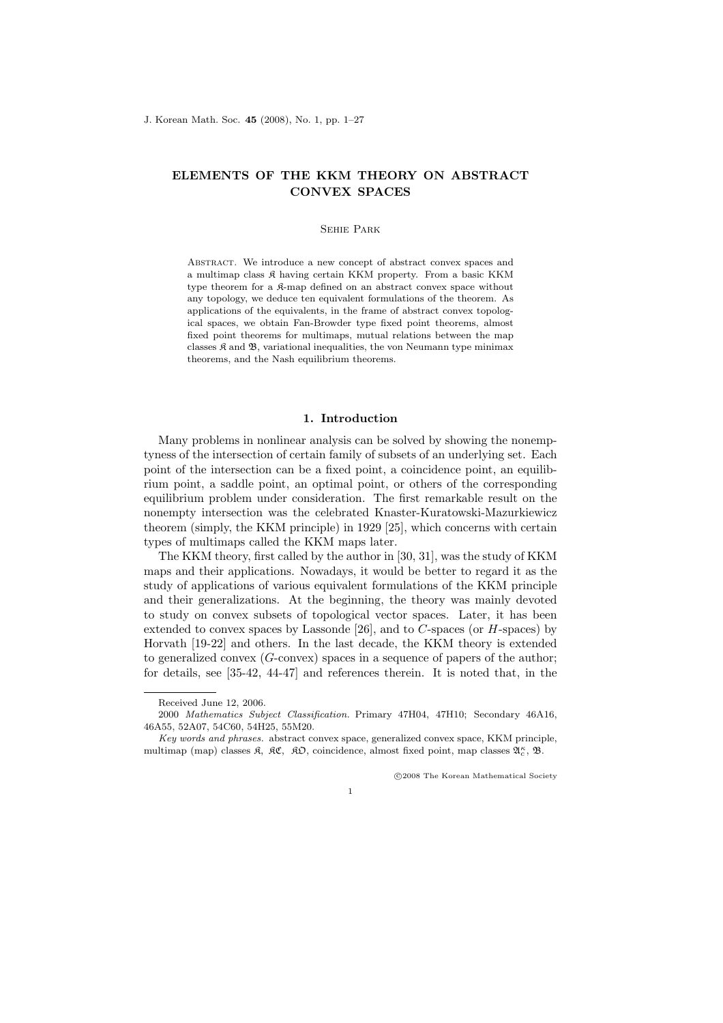# ELEMENTS OF THE KKM THEORY ON ABSTRACT CONVEX SPACES

### Sehie Park

Abstract. We introduce a new concept of abstract convex spaces and a multimap class K having certain KKM property. From a basic KKM type theorem for a  $\mathfrak{K}$ -map defined on an abstract convex space without any topology, we deduce ten equivalent formulations of the theorem. As applications of the equivalents, in the frame of abstract convex topological spaces, we obtain Fan-Browder type fixed point theorems, almost fixed point theorems for multimaps, mutual relations between the map classes  $\mathfrak K$  and  $\mathfrak B$ , variational inequalities, the von Neumann type minimax theorems, and the Nash equilibrium theorems.

### 1. Introduction

Many problems in nonlinear analysis can be solved by showing the nonemptyness of the intersection of certain family of subsets of an underlying set. Each point of the intersection can be a fixed point, a coincidence point, an equilibrium point, a saddle point, an optimal point, or others of the corresponding equilibrium problem under consideration. The first remarkable result on the nonempty intersection was the celebrated Knaster-Kuratowski-Mazurkiewicz theorem (simply, the KKM principle) in 1929 [25], which concerns with certain types of multimaps called the KKM maps later.

The KKM theory, first called by the author in [30, 31], was the study of KKM maps and their applications. Nowadays, it would be better to regard it as the study of applications of various equivalent formulations of the KKM principle and their generalizations. At the beginning, the theory was mainly devoted to study on convex subsets of topological vector spaces. Later, it has been extended to convex spaces by Lassonde  $[26]$ , and to C-spaces (or H-spaces) by Horvath [19-22] and others. In the last decade, the KKM theory is extended to generalized convex  $(G\text{-convex})$  spaces in a sequence of papers of the author; for details, see [35-42, 44-47] and references therein. It is noted that, in the

°c 2008 The Korean Mathematical Society

Received June 12, 2006.

<sup>2000</sup> Mathematics Subject Classification. Primary 47H04, 47H10; Secondary 46A16, 46A55, 52A07, 54C60, 54H25, 55M20.

Key words and phrases. abstract convex space, generalized convex space, KKM principle, multimap (map) classes  $\mathfrak{K}$ ,  $\mathfrak{K} \mathfrak{C}$ ,  $\mathfrak{K} \mathfrak{O}$ , coincidence, almost fixed point, map classes  $\mathfrak{A}_{c}^{\kappa}$ ,  $\mathfrak{B}$ .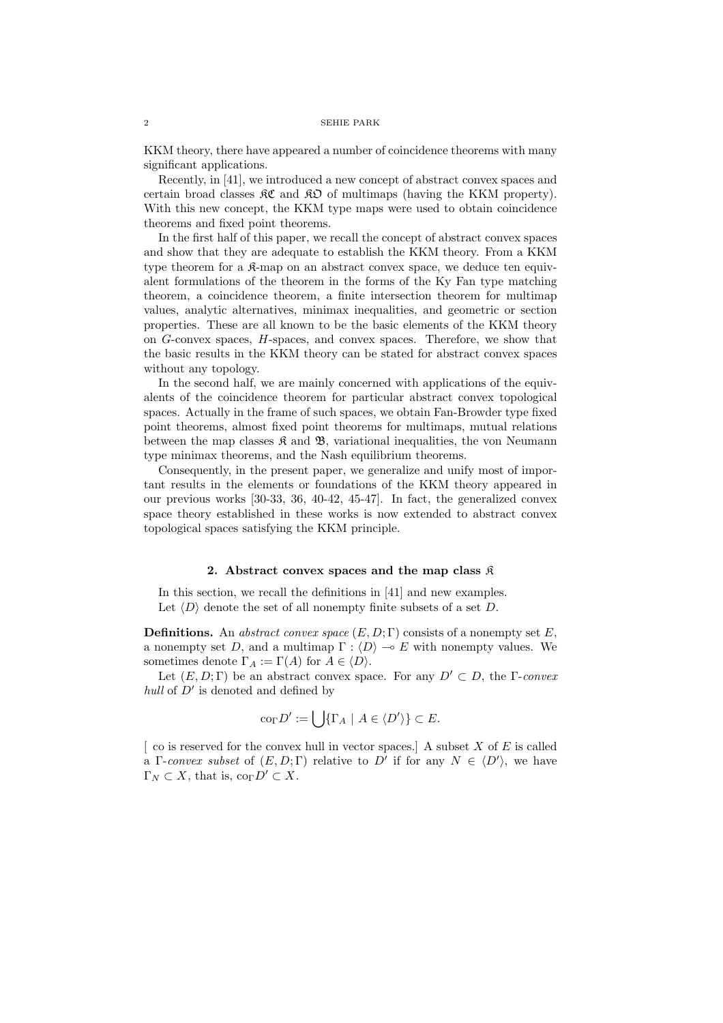KKM theory, there have appeared a number of coincidence theorems with many significant applications.

Recently, in [41], we introduced a new concept of abstract convex spaces and certain broad classes  $\mathcal{RC}$  and  $\mathcal{RD}$  of multimaps (having the KKM property). With this new concept, the KKM type maps were used to obtain coincidence theorems and fixed point theorems.

In the first half of this paper, we recall the concept of abstract convex spaces and show that they are adequate to establish the KKM theory. From a KKM type theorem for a  $\mathcal{R}-m$  on an abstract convex space, we deduce ten equivalent formulations of the theorem in the forms of the Ky Fan type matching theorem, a coincidence theorem, a finite intersection theorem for multimap values, analytic alternatives, minimax inequalities, and geometric or section properties. These are all known to be the basic elements of the KKM theory on G-convex spaces, H-spaces, and convex spaces. Therefore, we show that the basic results in the KKM theory can be stated for abstract convex spaces without any topology.

In the second half, we are mainly concerned with applications of the equivalents of the coincidence theorem for particular abstract convex topological spaces. Actually in the frame of such spaces, we obtain Fan-Browder type fixed point theorems, almost fixed point theorems for multimaps, mutual relations between the map classes  $\mathfrak K$  and  $\mathfrak B$ , variational inequalities, the von Neumann type minimax theorems, and the Nash equilibrium theorems.

Consequently, in the present paper, we generalize and unify most of important results in the elements or foundations of the KKM theory appeared in our previous works [30-33, 36, 40-42, 45-47]. In fact, the generalized convex space theory established in these works is now extended to abstract convex topological spaces satisfying the KKM principle.

#### 2. Abstract convex spaces and the map class  $\hat{\mathcal{R}}$

In this section, we recall the definitions in [41] and new examples. Let  $\langle D \rangle$  denote the set of all nonempty finite subsets of a set D.

**Definitions.** An abstract convex space  $(E, D; \Gamma)$  consists of a nonempty set E, a nonempty set D, and a multimap  $\Gamma : \langle D \rangle \to E$  with nonempty values. We sometimes denote  $\Gamma_A := \Gamma(A)$  for  $A \in \langle D \rangle$ .

Let  $(E, D; \Gamma)$  be an abstract convex space. For any  $D' \subset D$ , the  $\Gamma$ -convex hull of  $D'$  is denoted and defined by

$$
\mathrm{co}_{\Gamma} D' := \bigcup \{ \Gamma_A \mid A \in \langle D' \rangle \} \subset E.
$$

 $\lceil$  co is reserved for the convex hull in vector spaces. A subset X of E is called a Γ-convex subset of  $(E, D; \Gamma)$  relative to D' if for any  $N \in \langle D' \rangle$ , we have  $\Gamma_N \subset X$ , that is,  $\text{co}_{\Gamma} D' \subset X$ .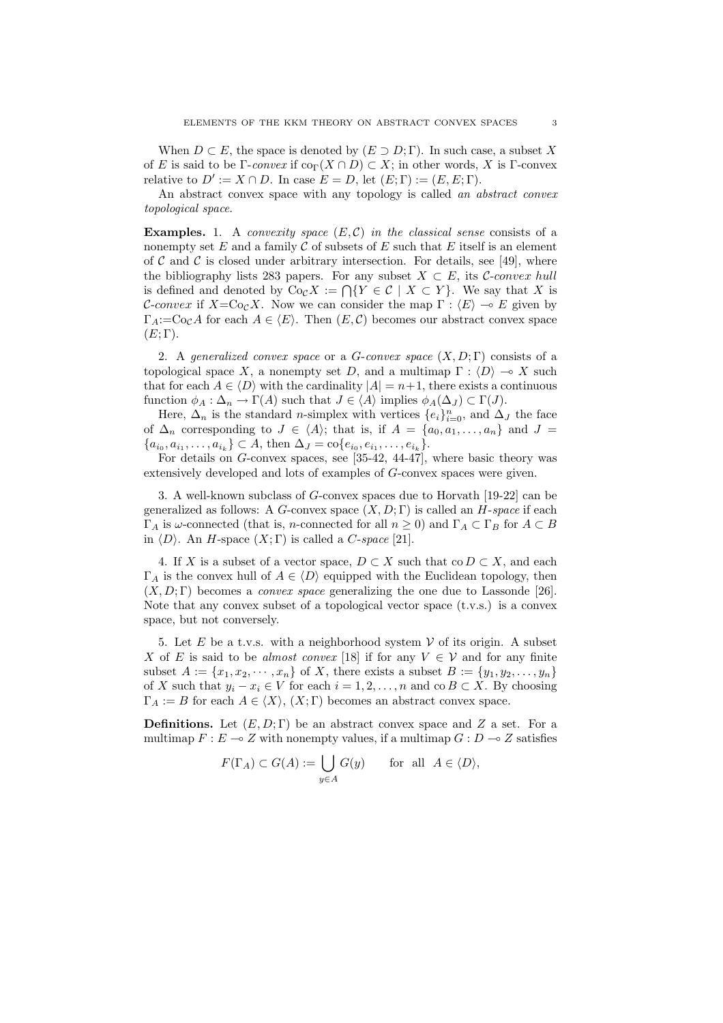When  $D \subset E$ , the space is denoted by  $(E \supset D; \Gamma)$ . In such case, a subset X of E is said to be Γ-convex if  $\text{co}_{\Gamma}(X \cap D) \subset X$ ; in other words, X is Γ-convex relative to  $D' := X \cap D$ . In case  $E = D$ , let  $(E; \Gamma) := (E, E; \Gamma)$ .

An abstract convex space with any topology is called an abstract convex topological space.

**Examples.** 1. A convexity space  $(E, C)$  in the classical sense consists of a nonempty set  $E$  and a family  $C$  of subsets of  $E$  such that  $E$  itself is an element of C and C is closed under arbitrary intersection. For details, see [49], where the bibliography lists 283 papers. For any subset  $X \subset E$ , its C-convex hull is defined and denoted by Co<sub>C</sub>X :=  $\bigcap \{Y \in C \mid X \subset Y\}$ . We say that X is C-convex if  $X=C_{\mathcal{O}_C}X$ . Now we can consider the map  $\Gamma : \langle E \rangle \to E$  given by  $\Gamma_A:=\text{Co}_cA$  for each  $A \in \langle E \rangle$ . Then  $(E, \mathcal{C})$  becomes our abstract convex space  $(E; \Gamma)$ .

2. A generalized convex space or a G-convex space  $(X, D; \Gamma)$  consists of a topological space X, a nonempty set D, and a multimap  $\Gamma : \langle D \rangle \to X$  such that for each  $A \in \langle D \rangle$  with the cardinality  $|A| = n+1$ , there exists a continuous function  $\phi_A : \Delta_n \to \Gamma(A)$  such that  $J \in \langle A \rangle$  implies  $\phi_A(\Delta_J) \subset \Gamma(J)$ .

Here,  $\Delta_n$  is the standard *n*-simplex with vertices  $\{e_i\}_{i=0}^n$ , and  $\Delta_J$  the face of  $\Delta_n$  corresponding to  $J \in \langle A \rangle$ ; that is, if  $A = \{a_0, a_1, \ldots, a_n\}$  and  $J =$  ${a_{i_0}, a_{i_1}, \ldots, a_{i_k}} \subset A$ , then  $\Delta_J = \text{co}\{e_{i_0}, e_{i_1}, \ldots, e_{i_k}\}.$ 

For details on G-convex spaces, see [35-42, 44-47], where basic theory was extensively developed and lots of examples of G-convex spaces were given.

3. A well-known subclass of  $G$ -convex spaces due to Horvath [19-22] can be generalized as follows: A G-convex space  $(X, D; \Gamma)$  is called an H-space if each  $Γ_A$  is ω-connected (that is, *n*-connected for all  $n ≥ 0$ ) and  $Γ_A ⊂ Γ_B$  for  $A ⊂ B$ in  $\langle D \rangle$ . An H-space  $(X; \Gamma)$  is called a C-space [21].

4. If X is a subset of a vector space,  $D \subset X$  such that co  $D \subset X$ , and each  $\Gamma_A$  is the convex hull of  $A \in \langle D \rangle$  equipped with the Euclidean topology, then  $(X, D; \Gamma)$  becomes a *convex space* generalizing the one due to Lassonde [26]. Note that any convex subset of a topological vector space (t.v.s.) is a convex space, but not conversely.

5. Let E be a t.v.s. with a neighborhood system  $V$  of its origin. A subset X of E is said to be almost convex [18] if for any  $V \in V$  and for any finite subset  $A := \{x_1, x_2, \dots, x_n\}$  of X, there exists a subset  $B := \{y_1, y_2, \dots, y_n\}$ of X such that  $y_i - x_i \in V$  for each  $i = 1, 2, ..., n$  and co  $B \subset X$ . By choosing  $\Gamma_A := B$  for each  $A \in \langle X \rangle$ ,  $(X; \Gamma)$  becomes an abstract convex space.

**Definitions.** Let  $(E, D; \Gamma)$  be an abstract convex space and Z a set. For a multimap  $F : E \multimap Z$  with nonempty values, if a multimap  $G : D \multimap Z$  satisfies

$$
F(\Gamma_A) \subset G(A) := \bigcup_{y \in A} G(y) \quad \text{for all } A \in \langle D \rangle,
$$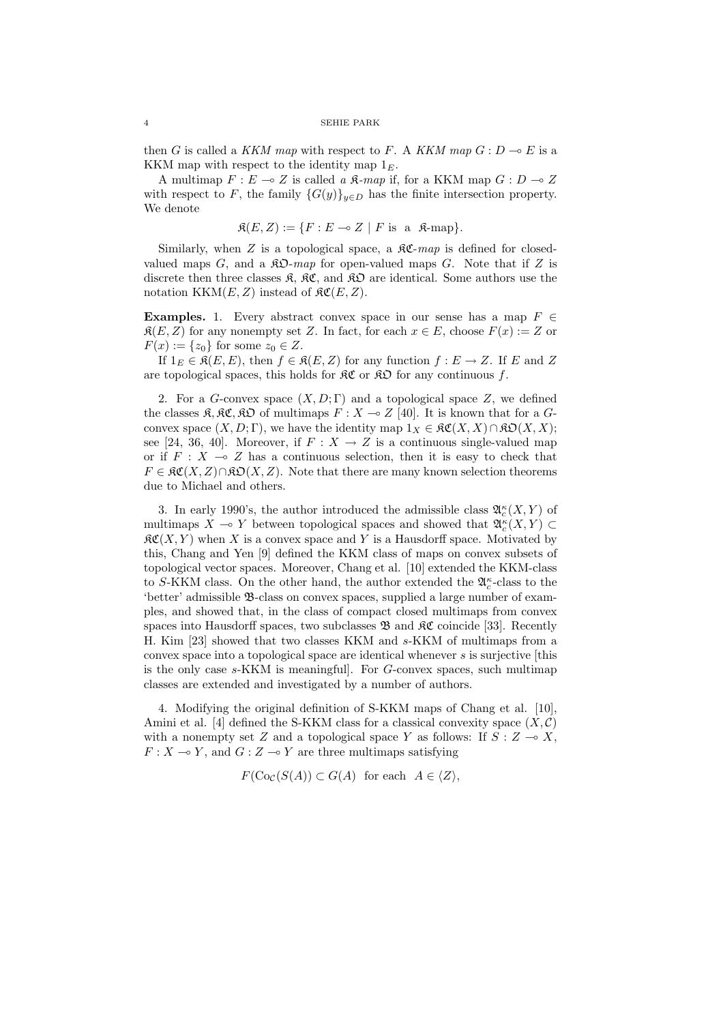then G is called a KKM map with respect to F. A KKM map  $G: D \multimap E$  is a KKM map with respect to the identity map  $1<sub>E</sub>$ .

A multimap  $F : E \multimap Z$  is called a  $\mathfrak{K}\text{-}map$  if, for a KKM map  $G : D \multimap Z$ with respect to F, the family  $\{G(y)\}_{y\in D}$  has the finite intersection property. We denote

$$
\mathfrak{K}(E, Z) := \{ F : E \multimap Z \mid F \text{ is a } \mathfrak{K}\text{-map} \}.
$$

Similarly, when Z is a topological space, a  $\mathcal{RC}$ -map is defined for closedvalued maps  $G$ , and a  $\mathcal{R}\mathfrak{O}$ -map for open-valued maps  $G$ . Note that if  $Z$  is discrete then three classes  $\mathfrak{K}, \mathfrak{K} \mathfrak{C},$  and  $\mathfrak{K} \mathfrak{O}$  are identical. Some authors use the notation  $KKM(E, Z)$  instead of  $\mathfrak{RC}(E, Z)$ .

**Examples.** 1. Every abstract convex space in our sense has a map  $F \in$  $\mathfrak{K}(E, Z)$  for any nonempty set Z. In fact, for each  $x \in E$ , choose  $F(x) := Z$  or  $F(x) := \{z_0\}$  for some  $z_0 \in Z$ .

If  $1_E \in \mathfrak{K}(E, E)$ , then  $f \in \mathfrak{K}(E, Z)$  for any function  $f : E \to Z$ . If E and Z are topological spaces, this holds for  $\mathcal{RC}$  or  $\mathcal{RD}$  for any continuous f.

2. For a G-convex space  $(X, D; \Gamma)$  and a topological space Z, we defined the classes  $\mathfrak{K}, \mathfrak{K} \mathfrak{C}, \mathfrak{K} \mathfrak{O}$  of multimaps  $F : X \multimap Z$  [40]. It is known that for a  $G$ convex space  $(X, D; \Gamma)$ , we have the identity map  $1_X \in \mathcal{RC}(X, X) \cap \mathcal{RO}(X, X);$ see [24, 36, 40]. Moreover, if  $F: X \to Z$  is a continuous single-valued map or if  $F : X \multimap Z$  has a continuous selection, then it is easy to check that  $F \in \mathfrak{RC}(X,Z) \cap \mathfrak{RO}(X,Z)$ . Note that there are many known selection theorems due to Michael and others.

3. In early 1990's, the author introduced the admissible class  $\mathfrak{A}_{c}^{\kappa}(X,Y)$  of multimaps  $X \multimap Y$  between topological spaces and showed that  $\mathfrak{A}_{c}^{\kappa}(X, Y) \subset$  $\mathcal{RC}(X, Y)$  when X is a convex space and Y is a Hausdorff space. Motivated by this, Chang and Yen [9] defined the KKM class of maps on convex subsets of topological vector spaces. Moreover, Chang et al. [10] extended the KKM-class to S-KKM class. On the other hand, the author extended the  $\mathfrak{A}_c^{\kappa}$ -class to the 'better' admissible B-class on convex spaces, supplied a large number of examples, and showed that, in the class of compact closed multimaps from convex spaces into Hausdorff spaces, two subclasses  $\mathfrak{B}$  and  $\mathfrak{K}C$  coincide [33]. Recently H. Kim [23] showed that two classes KKM and s-KKM of multimaps from a convex space into a topological space are identical whenever s is surjective [this is the only case s-KKM is meaningful]. For G-convex spaces, such multimap classes are extended and investigated by a number of authors.

4. Modifying the original definition of S-KKM maps of Chang et al. [10], Amini et al. [4] defined the S-KKM class for a classical convexity space  $(X, \mathcal{C})$ with a nonempty set Z and a topological space Y as follows: If  $S: Z \to X$ ,  $F: X \longrightarrow Y$ , and  $G: Z \longrightarrow Y$  are three multimaps satisfying

 $F(\text{Co}_\mathcal{C}(S(A)) \subset G(A)$  for each  $A \in \langle Z \rangle$ ,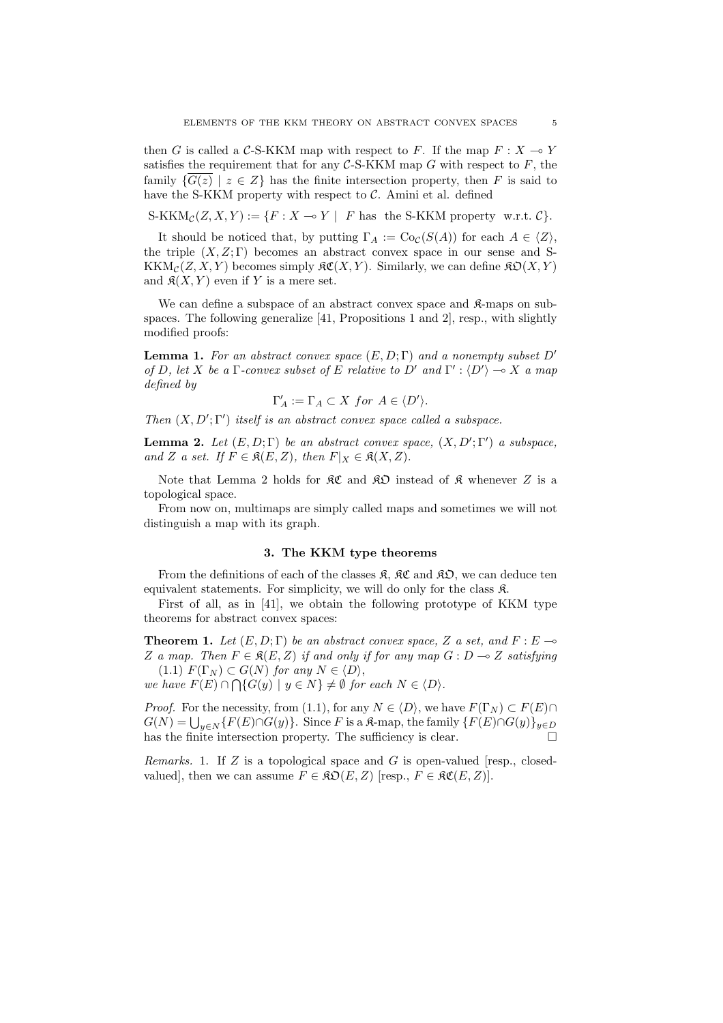then G is called a C-S-KKM map with respect to F. If the map  $F : X \to Y$ satisfies the requirement that for any  $C$ -S-KKM map G with respect to  $F$ , the family  $\{G(z) | z \in Z\}$  has the finite intersection property, then F is said to have the S-KKM property with respect to  $\mathcal{C}$ . Amini et al. defined

S-KKM $_{\mathcal{C}}(Z, X, Y) := \{F : X \multimap Y \mid F \text{ has the S-KKM property w.r.t. } C\}.$ 

It should be noticed that, by putting  $\Gamma_A := \text{Co}_{\mathcal{C}}(S(A))$  for each  $A \in \langle Z \rangle$ , the triple  $(X, Z; \Gamma)$  becomes an abstract convex space in our sense and S- $\operatorname{KKM}_{\mathcal{C}}(Z,X,Y)$  becomes simply  $\mathfrak{RC}(X,Y)$ . Similarly, we can define  $\mathfrak{RD}(X,Y)$ and  $\mathfrak{K}(X, Y)$  even if Y is a mere set.

We can define a subspace of an abstract convex space and  $\mathcal{R}$ -maps on subspaces. The following generalize [41, Propositions 1 and 2], resp., with slightly modified proofs:

**Lemma 1.** For an abstract convex space  $(E, D; \Gamma)$  and a nonempty subset D' of D, let X be a Γ-convex subset of E relative to D' and  $\Gamma': \langle D' \rangle \longrightarrow X$  a map defined by

$$
\Gamma'_A := \Gamma_A \subset X \text{ for } A \in \langle D' \rangle.
$$

Then  $(X, D'; \Gamma')$  itself is an abstract convex space called a subspace.

**Lemma 2.** Let  $(E, D; \Gamma)$  be an abstract convex space,  $(X, D'; \Gamma')$  a subspace, and Z a set. If  $F \in \mathfrak{K}(E, Z)$ , then  $F|_X \in \mathfrak{K}(X, Z)$ .

Note that Lemma 2 holds for  $\mathcal{RC}$  and  $\mathcal{RD}$  instead of  $\mathcal{R}$  whenever Z is a topological space.

From now on, multimaps are simply called maps and sometimes we will not distinguish a map with its graph.

# 3. The KKM type theorems

From the definitions of each of the classes  $\mathfrak{K}$ ,  $\mathfrak{K}C$  and  $\mathfrak{K}D$ , we can deduce ten equivalent statements. For simplicity, we will do only for the class K.

First of all, as in [41], we obtain the following prototype of KKM type theorems for abstract convex spaces:

**Theorem 1.** Let  $(E, D; \Gamma)$  be an abstract convex space, Z a set, and  $F: E \rightarrow$ Z a map. Then  $F \in \mathfrak{K}(E, Z)$  if and only if for any map  $G : D \to Z$  satisfying (1.1)  $F(\Gamma_N) \subset G(N)$  for any  $N \in \langle D \rangle$ ,

we have  $F(E) \cap \bigcap \{G(y) \mid y \in N\} \neq \emptyset$  for each  $N \in \langle D \rangle$ .

*Proof.* For the necessity, from (1.1), for any  $N \in \langle D \rangle$ , we have  $F(\Gamma_N) \subset F(E) \cap$ Froof. For the necessity, from (1.1), for any  $N \in \langle D \rangle$ , we have  $F(\Gamma_N) \subset F(E) \cap G(N) = \bigcup_{y \in N} \{F(E) \cap G(y)\}$ . Since F is a  $\Re$ -map, the family  $\{F(E) \cap G(y)\}_{y \in D}$ has the finite intersection property. The sufficiency is clear.  $\Box$ 

Remarks. 1. If  $Z$  is a topological space and  $G$  is open-valued [resp., closedvalued], then we can assume  $F \in \mathfrak{RO}(E, Z)$  [resp.,  $F \in \mathfrak{RC}(E, Z)$ ].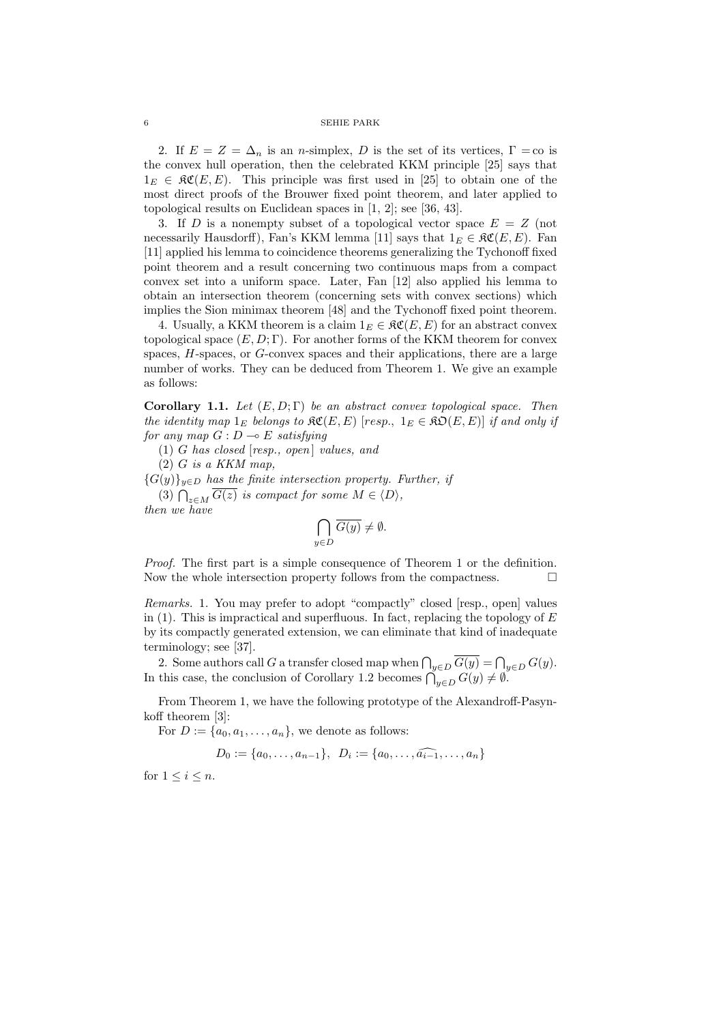2. If  $E = Z = \Delta_n$  is an *n*-simplex, D is the set of its vertices,  $\Gamma = \infty$  is the convex hull operation, then the celebrated KKM principle [25] says that  $1_E \in \mathfrak{RC}(E, E)$ . This principle was first used in [25] to obtain one of the most direct proofs of the Brouwer fixed point theorem, and later applied to topological results on Euclidean spaces in [1, 2]; see [36, 43].

3. If D is a nonempty subset of a topological vector space  $E = Z$  (not necessarily Hausdorff), Fan's KKM lemma [11] says that  $1_E \in \mathfrak{RC}(E, E)$ . Fan [11] applied his lemma to coincidence theorems generalizing the Tychonoff fixed point theorem and a result concerning two continuous maps from a compact convex set into a uniform space. Later, Fan [12] also applied his lemma to obtain an intersection theorem (concerning sets with convex sections) which implies the Sion minimax theorem [48] and the Tychonoff fixed point theorem.

4. Usually, a KKM theorem is a claim  $1_E \in \mathfrak{RC}(E, E)$  for an abstract convex topological space  $(E, D; \Gamma)$ . For another forms of the KKM theorem for convex spaces, H-spaces, or G-convex spaces and their applications, there are a large number of works. They can be deduced from Theorem 1. We give an example as follows:

Corollary 1.1. Let  $(E, D; \Gamma)$  be an abstract convex topological space. Then the identity map  $1_E$  belongs to  $\mathcal{RC}(E, E)$  [resp.,  $1_E \in \mathcal{RO}(E, E)$ ] if and only if for any map  $G: D \longrightarrow E$  satisfying

(1) G has closed  $[resp., open]$  values, and

 $(2)$  G is a KKM map.

 ${G(y)}_{y\in D}$  has the finite intersection property. Further, if (3)  $\bigcap_{z \in M} G(z)$  is compact for some  $M \in \langle D \rangle$ ,

then we have

$$
\bigcap_{y \in D} \overline{G(y)} \neq \emptyset.
$$

Proof. The first part is a simple consequence of Theorem 1 or the definition. Now the whole intersection property follows from the compactness.  $\Box$ 

Remarks. 1. You may prefer to adopt "compactly" closed [resp., open] values in (1). This is impractical and superfluous. In fact, replacing the topology of  $E$ by its compactly generated extension, we can eliminate that kind of inadequate terminology; see [37].

2. Some authors call G a transfer closed map when  $\bigcap_{y \in D} \overline{G(y)} = \bigcap_{y \in D} G(y)$ .<br>In this case, the conclusion of Corollary 1.2 becomes  $\bigcap_{y \in D} G(y) \neq \emptyset$ .

From Theorem 1, we have the following prototype of the Alexandroff-Pasynkoff theorem [3]:

For  $D := \{a_0, a_1, \ldots, a_n\}$ , we denote as follows:

 $D_0 := \{a_0, \ldots, a_{n-1}\}, \ \ D_i := \{a_0, \ldots, \widehat{a_{i-1}}, \ldots, a_n\}$ 

for  $1 \leq i \leq n$ .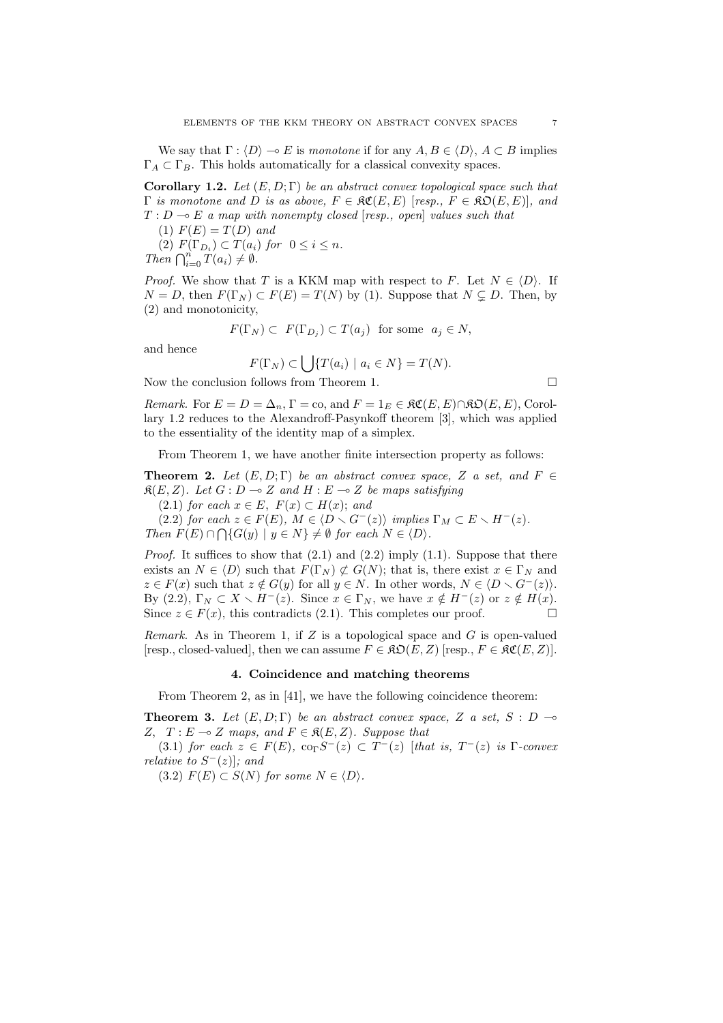We say that  $\Gamma : \langle D \rangle \to E$  is monotone if for any  $A, B \in \langle D \rangle$ ,  $A \subset B$  implies  $\Gamma_A \subset \Gamma_B$ . This holds automatically for a classical convexity spaces.

**Corollary 1.2.** Let  $(E, D; \Gamma)$  be an abstract convex topological space such that  $\Gamma$  is monotone and D is as above,  $F \in \mathfrak{RC}(E, E)$  [resp.,  $F \in \mathfrak{RO}(E, E)$ ], and  $T : D \multimap E$  a map with nonempty closed [resp., open] values such that

(1)  $F(E) = T(D)$  and

(2)  $F(\Gamma_{D_i}) \subset T(a_i)$  for  $0 \leq i \leq n$ .  $\text{Then } \bigcap_{i=0}^{n} T(a_i) \neq \emptyset.$ 

*Proof.* We show that T is a KKM map with respect to F. Let  $N \in \langle D \rangle$ . If  $N = D$ , then  $F(\Gamma_N) \subset F(E) = T(N)$  by (1). Suppose that  $N \subsetneq D$ . Then, by (2) and monotonicity,

$$
F(\Gamma_N) \subset F(\Gamma_{D_j}) \subset T(a_j) \text{ for some } a_j \in N,
$$

and hence

$$
F(\Gamma_N) \subset \bigcup \{ T(a_i) \mid a_i \in N \} = T(N).
$$

Now the conclusion follows from Theorem 1.  $\Box$ 

Remark. For  $E = D = \Delta_n$ ,  $\Gamma = \text{co}$ , and  $F = 1_E \in \mathfrak{RC}(E, E) \cap \mathfrak{RO}(E, E)$ , Corollary 1.2 reduces to the Alexandroff-Pasynkoff theorem [3], which was applied to the essentiality of the identity map of a simplex.

From Theorem 1, we have another finite intersection property as follows:

**Theorem 2.** Let  $(E, D; \Gamma)$  be an abstract convex space, Z a set, and  $F \in$  $\mathfrak{K}(E, Z)$ . Let  $G : D \multimap Z$  and  $H : E \multimap Z$  be maps satisfying

(2.1) for each  $x \in E$ ,  $F(x) \subset H(x)$ ; and

 $(2.2)$  for each  $z \in F(E)$ ,  $M \in \langle D \setminus G^{-}(z) \rangle$  implies  $\Gamma_M \subset E \setminus H^{-}(z)$ . Then  $F(E) \cap \bigcap \{G(y) \mid y \in N\} \neq \emptyset$  for each  $N \in \langle D \rangle$ .

*Proof.* It suffices to show that  $(2.1)$  and  $(2.2)$  imply  $(1.1)$ . Suppose that there exists an  $N \in \langle D \rangle$  such that  $F(\Gamma_N) \not\subset G(N)$ ; that is, there exist  $x \in \Gamma_N$  and  $z \in F(x)$  such that  $z \notin G(y)$  for all  $y \in N$ . In other words,  $N \in \langle D \setminus G^-(z) \rangle$ . By (2.2),  $\Gamma_N \subset X \setminus H^-(z)$ . Since  $x \in \Gamma_N$ , we have  $x \notin H^-(z)$  or  $z \notin H(x)$ . Since  $z \in F(x)$ , this contradicts (2.1). This completes our proof.

Remark. As in Theorem 1, if  $Z$  is a topological space and  $G$  is open-valued [resp., closed-valued], then we can assume  $F \in \mathfrak{RO}(E, Z)$  [resp.,  $F \in \mathfrak{SC}(E, Z)$ ].

# 4. Coincidence and matching theorems

From Theorem 2, as in [41], we have the following coincidence theorem:

**Theorem 3.** Let  $(E, D; \Gamma)$  be an abstract convex space, Z a set, S : D  $\rightarrow$ Z,  $T : E \multimap Z$  maps, and  $F \in \mathfrak{K}(E, Z)$ . Suppose that

(3.1) for each  $z \in F(E)$ ,  $\text{co}_{\Gamma}S^{-}(z) \subset T^{-}(z)$  [that is,  $T^{-}(z)$  is  $\Gamma$ -convex relative to  $S^{-}(z)$ ; and

(3.2)  $F(E) \subset S(N)$  for some  $N \in \langle D \rangle$ .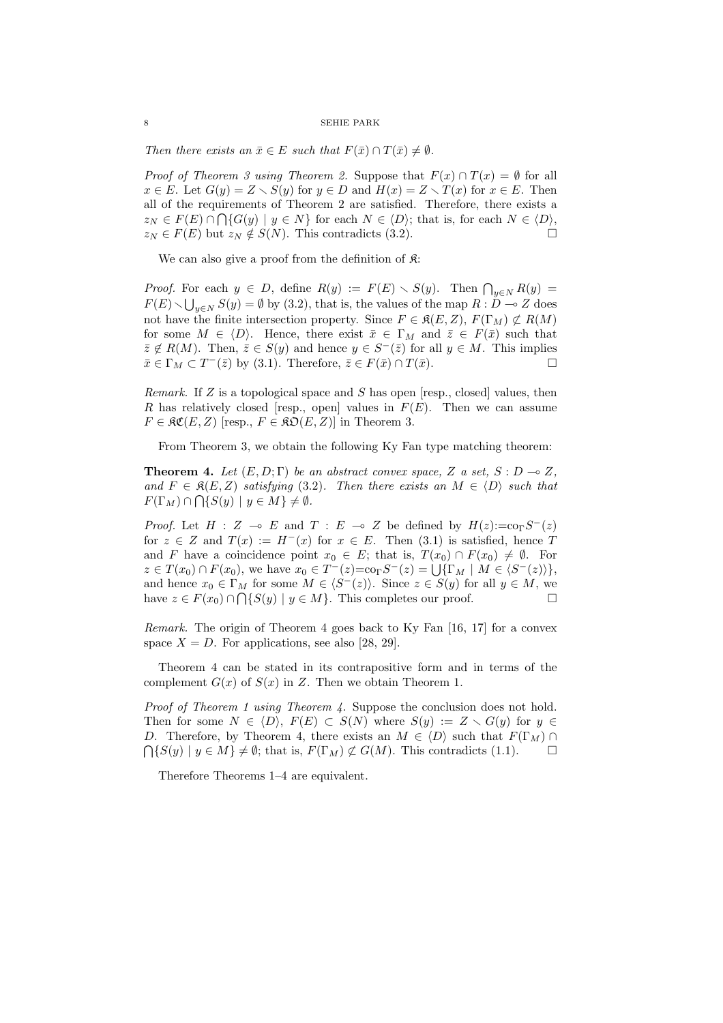Then there exists an  $\bar{x} \in E$  such that  $F(\bar{x}) \cap T(\bar{x}) \neq \emptyset$ .

*Proof of Theorem 3 using Theorem 2.* Suppose that  $F(x) \cap T(x) = \emptyset$  for all  $x \in E$ . Let  $G(y) = Z \setminus S(y)$  for  $y \in D$  and  $H(x) = Z \setminus T(x)$  for  $x \in E$ . Then all of the requirements of Theorem 2 are satisfied. Therefore, there exists a  $z_N \in F(E) \cap \bigcap \{G(y) \mid y \in N\}$  for each  $N \in \langle D \rangle$ ; that is, for each  $N \in \langle D \rangle$ ,  $z_N \in F(E)$  but  $z_N \notin S(N)$ . This contradicts (3.2).  $\Box$ 

We can also give a proof from the definition of  $\mathfrak{K}$ :

*Proof.* For each  $y \in D$ , define  $R(y) := F(E) \setminus S(y)$ . Then  $\bigcap_{y \in N} R(y) = F(E)$  $F(E) \setminus \bigcup_{y \in N} S(y) = \emptyset$  by (3.2), that is, the values of the map  $R : D \to Z$  does not have the finite intersection property. Since  $F \in \mathfrak{K}(E, Z), F(\Gamma_M) \not\subset R(M)$ for some  $M \in \langle D \rangle$ . Hence, there exist  $\bar{x} \in \Gamma_M$  and  $\bar{z} \in F(\bar{x})$  such that  $\bar{z} \notin R(M)$ . Then,  $\bar{z} \in S(y)$  and hence  $y \in S^{-}(\bar{z})$  for all  $y \in M$ . This implies  $\bar{x} \in \Gamma_M \subset T^-(\bar{z})$  by (3.1). Therefore,  $\bar{z} \in F(\bar{x}) \cap T(\bar{x})$ .

Remark. If  $Z$  is a topological space and  $S$  has open [resp., closed] values, then R has relatively closed [resp., open] values in  $F(E)$ . Then we can assume  $F \in \mathfrak{RC}(E, Z)$  [resp.,  $F \in \mathfrak{RO}(E, Z)$ ] in Theorem 3.

From Theorem 3, we obtain the following Ky Fan type matching theorem:

**Theorem 4.** Let  $(E, D; \Gamma)$  be an abstract convex space, Z a set,  $S: D \to Z$ , and  $F \in \mathfrak{K}(E, Z)$  satisfying (3.2). Then there exists an  $M \in \langle D \rangle$  such that  $F(\Gamma_M) \cap \bigcap \{S(y) \mid y \in M\} \neq \emptyset.$ 

*Proof.* Let  $H : Z \multimap E$  and  $T : E \multimap Z$  be defined by  $H(z):=c_0\Omega S^{-}(z)$ for  $z \in Z$  and  $T(x) := H^{-}(x)$  for  $x \in E$ . Then (3.1) is satisfied, hence T and F have a coincidence point  $x_0 \in E$ ; that is,  $T(x_0) \cap F(x_0) \neq \emptyset$ . For and *F* have a coincidence point  $x_0 \in E$ ; that is,  $T(x_0) + F(x_0) \neq \emptyset$ . For  $z \in T(x_0) \cap F(x_0)$ , we have  $x_0 \in T^-(z) = \text{Cor} S^-(z) = \bigcup \{\Gamma_M \mid M \in \langle S^-(z) \rangle\}$ , and hence  $x_0 \in \Gamma_M$  for some  $M \in \langle S^-(z) \rangle$ . Since  $z \in S(y)$  for all  $y \in M$ , we have  $z \in F(x_0) \cap \bigcap \{ S(y) \mid y \in M \}$ . This completes our proof.

Remark. The origin of Theorem 4 goes back to Ky Fan [16, 17] for a convex space  $X = D$ . For applications, see also [28, 29].

Theorem 4 can be stated in its contrapositive form and in terms of the complement  $G(x)$  of  $S(x)$  in Z. Then we obtain Theorem 1.

Proof of Theorem 1 using Theorem 4. Suppose the conclusion does not hold. Then for some  $N \in \langle D \rangle$ ,  $F(E) \subset S(N)$  where  $S(y) := Z \setminus G(y)$  for  $y \in$ D. Therefore, by Theorem 4, there exists an  $M \in \langle D \rangle$  such that  $F(\Gamma_M) \cap$  ${\bigcap} \{S(y) \mid y \in M\} \neq \emptyset$ ; that is,  $F(\Gamma_M) \not\subset G(M)$ . This contradicts (1.1).  $\Box$ 

Therefore Theorems 1–4 are equivalent.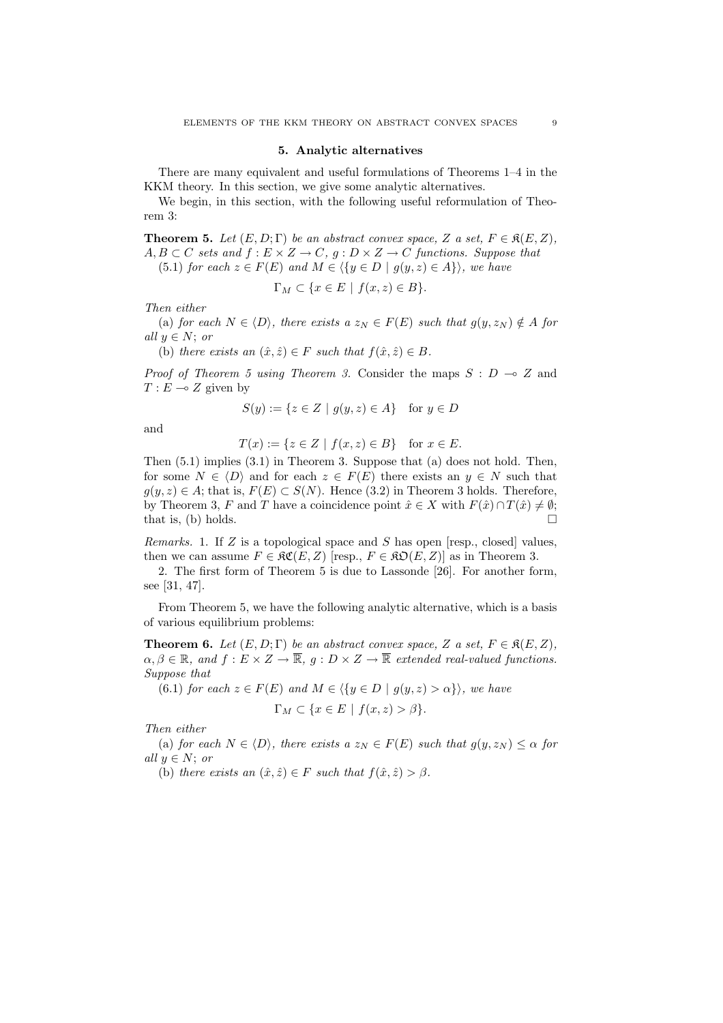## 5. Analytic alternatives

There are many equivalent and useful formulations of Theorems 1–4 in the KKM theory. In this section, we give some analytic alternatives.

We begin, in this section, with the following useful reformulation of Theorem 3:

**Theorem 5.** Let  $(E, D; \Gamma)$  be an abstract convex space, Z a set,  $F \in \mathfrak{K}(E, Z)$ ,  $A, B \subset C$  sets and  $f : E \times Z \to C$ ,  $g : D \times Z \to C$  functions. Suppose that

(5.1) for each  $z \in F(E)$  and  $M \in \langle \{y \in D \mid g(y, z) \in A\} \rangle$ , we have

$$
\Gamma_M \subset \{ x \in E \mid f(x, z) \in B \}.
$$

Then either

(a) for each  $N \in \langle D \rangle$ , there exists a  $z_N \in F(E)$  such that  $g(y, z_N) \notin A$  for all  $y \in N$ ; or

(b) there exists an  $(\hat{x}, \hat{z}) \in F$  such that  $f(\hat{x}, \hat{z}) \in B$ .

*Proof of Theorem 5 using Theorem 3.* Consider the maps  $S : D \to Z$  and  $T : E \multimap Z$  given by

$$
S(y) := \{ z \in Z \mid g(y, z) \in A \} \quad \text{for } y \in D
$$

and

$$
T(x) := \{ z \in Z \mid f(x, z) \in B \} \quad \text{for } x \in E.
$$

Then (5.1) implies (3.1) in Theorem 3. Suppose that (a) does not hold. Then, for some  $N \in \langle D \rangle$  and for each  $z \in F(E)$  there exists an  $y \in N$  such that  $g(y, z) \in A$ ; that is,  $F(E) \subset S(N)$ . Hence (3.2) in Theorem 3 holds. Therefore, by Theorem 3, F and T have a coincidence point  $\hat{x} \in X$  with  $F(\hat{x}) \cap T(\hat{x}) \neq \emptyset$ ; that is, (b) holds.  $\Box$ 

*Remarks.* 1. If Z is a topological space and S has open [resp., closed] values, then we can assume  $F \in \mathfrak{RC}(E, Z)$  [resp.,  $F \in \mathfrak{RO}(E, Z)$ ] as in Theorem 3.

2. The first form of Theorem 5 is due to Lassonde [26]. For another form, see [31, 47].

From Theorem 5, we have the following analytic alternative, which is a basis of various equilibrium problems:

**Theorem 6.** Let  $(E, D; \Gamma)$  be an abstract convex space, Z a set,  $F \in \mathfrak{K}(E, Z)$ ,  $\alpha, \beta \in \mathbb{R}$ , and  $f: E \times Z \to \overline{\mathbb{R}}$ ,  $g: D \times Z \to \overline{\mathbb{R}}$  extended real-valued functions. Suppose that

(6.1) for each  $z \in F(E)$  and  $M \in \langle \{y \in D \mid g(y, z) > \alpha \} \rangle$ , we have  $\Gamma_M \subset \{x \in E \mid f(x, z) > \beta\}.$ 

Then either

(a) for each  $N \in \langle D \rangle$ , there exists  $a z_N \in F(E)$  such that  $g(y, z_N) \leq \alpha$  for all  $y \in N$ ; or

(b) there exists an  $(\hat{x}, \hat{z}) \in F$  such that  $f(\hat{x}, \hat{z}) > \beta$ .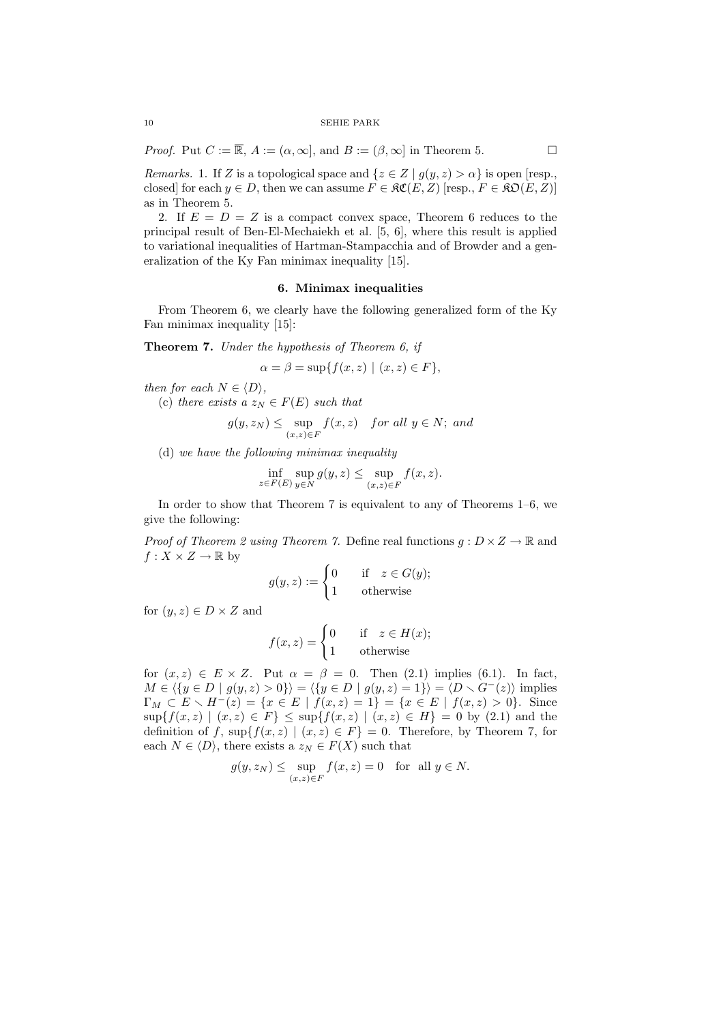*Proof.* Put  $C := \overline{\mathbb{R}}, A := (\alpha, \infty],$  and  $B := (\beta, \infty]$  in Theorem 5.

*Remarks.* 1. If Z is a topological space and  $\{z \in Z \mid g(y, z) > \alpha\}$  is open [resp., closed] for each  $y \in D$ , then we can assume  $F \in \mathcal{RC}(E, Z)$  [resp.,  $F \in \mathcal{RD}(E, Z)$ ] as in Theorem 5.

2. If  $E = D = Z$  is a compact convex space, Theorem 6 reduces to the principal result of Ben-El-Mechaiekh et al. [5, 6], where this result is applied to variational inequalities of Hartman-Stampacchia and of Browder and a generalization of the Ky Fan minimax inequality [15].

# 6. Minimax inequalities

From Theorem 6, we clearly have the following generalized form of the Ky Fan minimax inequality [15]:

Theorem 7. Under the hypothesis of Theorem 6, if

$$
\alpha = \beta = \sup\{f(x, z) \mid (x, z) \in F\},\
$$

then for each  $N \in \langle D \rangle$ ,

(c) there exists a  $z_N \in F(E)$  such that

$$
g(y, z_N) \le \sup_{(x,z)\in F} f(x,z)
$$
 for all  $y \in N$ ; and

(d) we have the following minimax inequality

$$
\inf_{z \in F(E)} \sup_{y \in N} g(y, z) \le \sup_{(x, z) \in F} f(x, z).
$$

In order to show that Theorem 7 is equivalent to any of Theorems 1–6, we give the following:

*Proof of Theorem 2 using Theorem 7.* Define real functions  $q: D \times Z \to \mathbb{R}$  and  $f: X \times Z \to \mathbb{R}$  by

$$
g(y, z) := \begin{cases} 0 & \text{if } z \in G(y); \\ 1 & \text{otherwise} \end{cases}
$$

for  $(y, z) \in D \times Z$  and

$$
f(x, z) = \begin{cases} 0 & \text{if } z \in H(x); \\ 1 & \text{otherwise} \end{cases}
$$

for  $(x, z) \in E \times Z$ . Put  $\alpha = \beta = 0$ . Then  $(2.1)$  implies  $(6.1)$ . In fact,  $M \in \langle \{y \in D \mid g(y, z) > 0\} \rangle = \langle \{y \in D \mid g(y, z) = 1\} \rangle = \langle D \setminus G^{-}(z) \rangle$  implies  $\Gamma_M \subset E \setminus H^-(z) = \{x \in E \mid f(x,z) = 1\} = \{x \in E \mid f(x,z) > 0\}.$  Since  $\sup\{f(x,z) \mid (x,z) \in F\} \leq \sup\{f(x,z) \mid (x,z) \in H\} = 0$  by (2.1) and the definition of f,  $\sup\{f(x, z) \mid (x, z) \in F\} = 0$ . Therefore, by Theorem 7, for each  $N \in \langle D \rangle$ , there exists a  $z_N \in F(X)$  such that

$$
g(y, z_N) \le \sup_{(x,z)\in F} f(x, z) = 0 \quad \text{for all } y \in N.
$$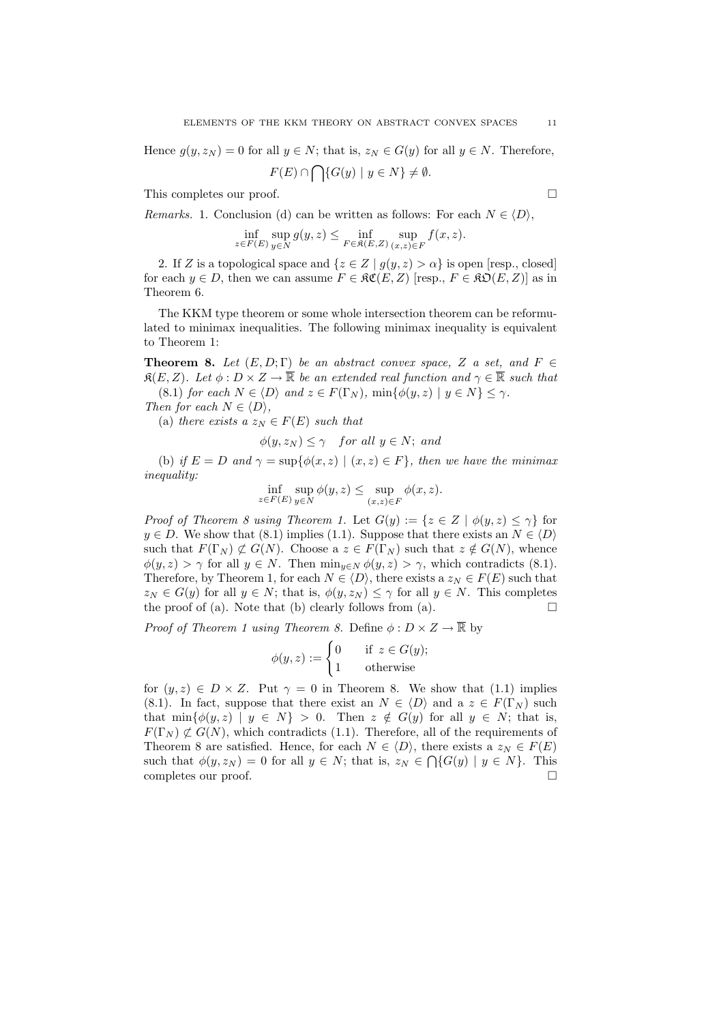Hence  $g(y, z_N) = 0$  for all  $y \in N$ ; that is,  $z_N \in G(y)$  for all  $y \in N$ . Therefore,  $F(E) \cap$  $\mathbf{L}$  $\{G(y) \mid y \in N\} \neq \emptyset.$ 

This completes our proof.

Remarks. 1. Conclusion (d) can be written as follows: For each  $N \in \langle D \rangle$ ,

$$
\inf_{z \in F(E)} \sup_{y \in N} g(y, z) \le \inf_{F \in \mathfrak{K}(E, Z)} \sup_{(x, z) \in F} f(x, z).
$$

2. If Z is a topological space and  $\{z \in Z \mid g(y, z) > \alpha\}$  is open [resp., closed] for each  $y \in D$ , then we can assume  $F \in \mathcal{RC}(E, Z)$  [resp.,  $F \in \mathcal{RD}(E, Z)$ ] as in Theorem 6.

The KKM type theorem or some whole intersection theorem can be reformulated to minimax inequalities. The following minimax inequality is equivalent to Theorem 1:

**Theorem 8.** Let  $(E, D; \Gamma)$  be an abstract convex space, Z a set, and F  $\in$  $\mathfrak{K}(E, Z)$ . Let  $\phi : D \times Z \to \overline{\mathbb{R}}$  be an extended real function and  $\gamma \in \overline{\mathbb{R}}$  such that (8.1) for each  $N \in \langle D \rangle$  and  $z \in F(\Gamma_N)$ ,  $\min\{\phi(y, z) \mid y \in N\} \leq \gamma$ .

Then for each  $N \in \langle D \rangle$ ,

(a) there exists a  $z_N \in F(E)$  such that

 $\phi(y, z_N) \leq \gamma$  for all  $y \in N$ ; and

(b) if  $E = D$  and  $\gamma = \sup\{\phi(x, z) \mid (x, z) \in F\}$ , then we have the minimax inequality:

$$
\inf_{z \in F(E)} \sup_{y \in N} \phi(y, z) \le \sup_{(x, z) \in F} \phi(x, z).
$$

*Proof of Theorem 8 using Theorem 1.* Let  $G(y) := \{z \in Z \mid \phi(y, z) \leq \gamma\}$  for  $y \in D$ . We show that (8.1) implies (1.1). Suppose that there exists an  $N \in \langle D \rangle$ such that  $F(\Gamma_N) \not\subset G(N)$ . Choose a  $z \in F(\Gamma_N)$  such that  $z \notin G(N)$ , whence  $\phi(y, z) > \gamma$  for all  $y \in N$ . Then  $\min_{y \in N} \phi(y, z) > \gamma$ , which contradicts (8.1). Therefore, by Theorem 1, for each  $N \in \langle D \rangle$ , there exists a  $z_N \in F(E)$  such that  $z_N \in G(y)$  for all  $y \in N$ ; that is,  $\phi(y, z_N) \leq \gamma$  for all  $y \in N$ . This completes the proof of (a). Note that (b) clearly follows from (a).  $\Box$ 

Proof of Theorem 1 using Theorem 8. Define  $\phi : D \times Z \to \mathbb{R}$  by<br>  $\phi(y, z) := \begin{cases} 0 & \text{if } z \in G(y); \end{cases}$ 

$$
\phi(y, z) := \begin{cases} 0 & \text{if } z \in G(y); \\ 1 & \text{otherwise} \end{cases}
$$

for  $(y, z) \in D \times Z$ . Put  $\gamma = 0$  in Theorem 8. We show that (1.1) implies (8.1). In fact, suppose that there exist an  $N \in \langle D \rangle$  and a  $z \in F(\Gamma_N)$  such that  $\min\{\phi(y, z) \mid y \in N\} > 0$ . Then  $z \notin G(y)$  for all  $y \in N$ ; that is,  $F(\Gamma_N) \not\subset G(N)$ , which contradicts (1.1). Therefore, all of the requirements of Theorem 8 are satisfied. Hence, for each  $N \in \langle D \rangle$ , there exists a  $z_N \in F(E)$ such that  $\phi(y, z_N) = 0$  for all  $y \in N$ ; that is,  $z_N \in \bigcap \{G(y) \mid y \in N\}$ . This completes our proof.  $\Box$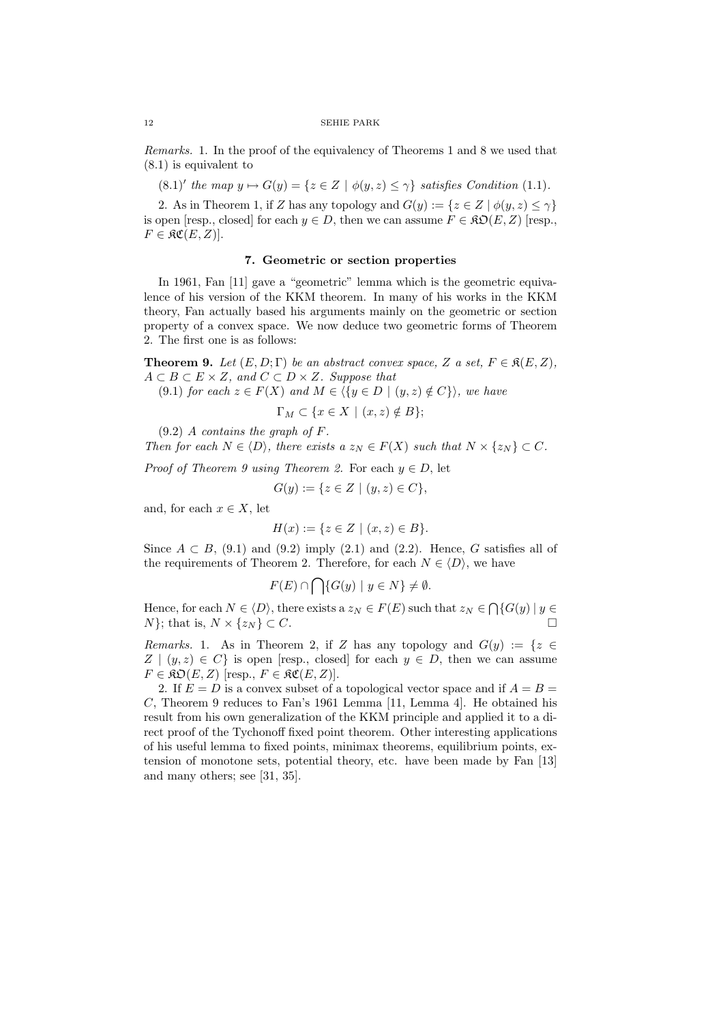Remarks. 1. In the proof of the equivalency of Theorems 1 and 8 we used that (8.1) is equivalent to

 $(8.1)'$  the map  $y \mapsto G(y) = \{z \in Z \mid \phi(y, z) \leq \gamma\}$  satisfies Condition (1.1).

2. As in Theorem 1, if Z has any topology and  $G(y) := \{z \in Z \mid \phi(y, z) \leq \gamma\}$ is open [resp., closed] for each  $y \in D$ , then we can assume  $F \in \mathfrak{RO}(E, Z)$  [resp.,  $F \in \mathfrak{RC}(E, Z)$ ].

# 7. Geometric or section properties

In 1961, Fan [11] gave a "geometric" lemma which is the geometric equivalence of his version of the KKM theorem. In many of his works in the KKM theory, Fan actually based his arguments mainly on the geometric or section property of a convex space. We now deduce two geometric forms of Theorem 2. The first one is as follows:

**Theorem 9.** Let  $(E, D; \Gamma)$  be an abstract convex space, Z a set,  $F \in \mathfrak{K}(E, Z)$ ,  $A \subset B \subset E \times Z$ , and  $C \subset D \times Z$ . Suppose that

(9.1) for each  $z \in F(X)$  and  $M \in \langle \{y \in D \mid (y, z) \notin C\} \rangle$ , we have

$$
\Gamma_M \subset \{ x \in X \mid (x, z) \notin B \};
$$

 $(9.2)$  A contains the graph of F.

Then for each  $N \in \langle D \rangle$ , there exists a  $z_N \in F(X)$  such that  $N \times \{z_N\} \subset C$ .

*Proof of Theorem 9 using Theorem 2.* For each  $y \in D$ , let

$$
G(y) := \{ z \in Z \mid (y, z) \in C \},\
$$

and, for each  $x \in X$ , let

$$
H(x) := \{ z \in Z \mid (x, z) \in B \}.
$$

Since  $A \subset B$ , (9.1) and (9.2) imply (2.1) and (2.2). Hence, G satisfies all of the requirements of Theorem 2. Therefore, for each  $N \in \langle D \rangle$ , we have

$$
F(E) \cap \bigcap \{ G(y) \mid y \in N \} \neq \emptyset.
$$

Hence, for each  $N \in \langle D \rangle$ , there exists a  $z_N \in F(E)$  such that  $z_N \in \bigcap \{G(y) \mid y \in$  $N$ ; that is,  $N \times \{z_N\} \subset C$ .

Remarks. 1. As in Theorem 2, if Z has any topology and  $G(y) := \{z \in$  $Z | (y, z) \in C$  is open [resp., closed] for each  $y \in D$ , then we can assume  $F \in \mathfrak{RO}(E, Z)$  [resp.,  $F \in \mathfrak{RC}(E, Z)$ ].

2. If  $E = D$  is a convex subset of a topological vector space and if  $A = B =$  $C$ , Theorem 9 reduces to Fan's 1961 Lemma [11, Lemma 4]. He obtained his result from his own generalization of the KKM principle and applied it to a direct proof of the Tychonoff fixed point theorem. Other interesting applications of his useful lemma to fixed points, minimax theorems, equilibrium points, extension of monotone sets, potential theory, etc. have been made by Fan [13] and many others; see [31, 35].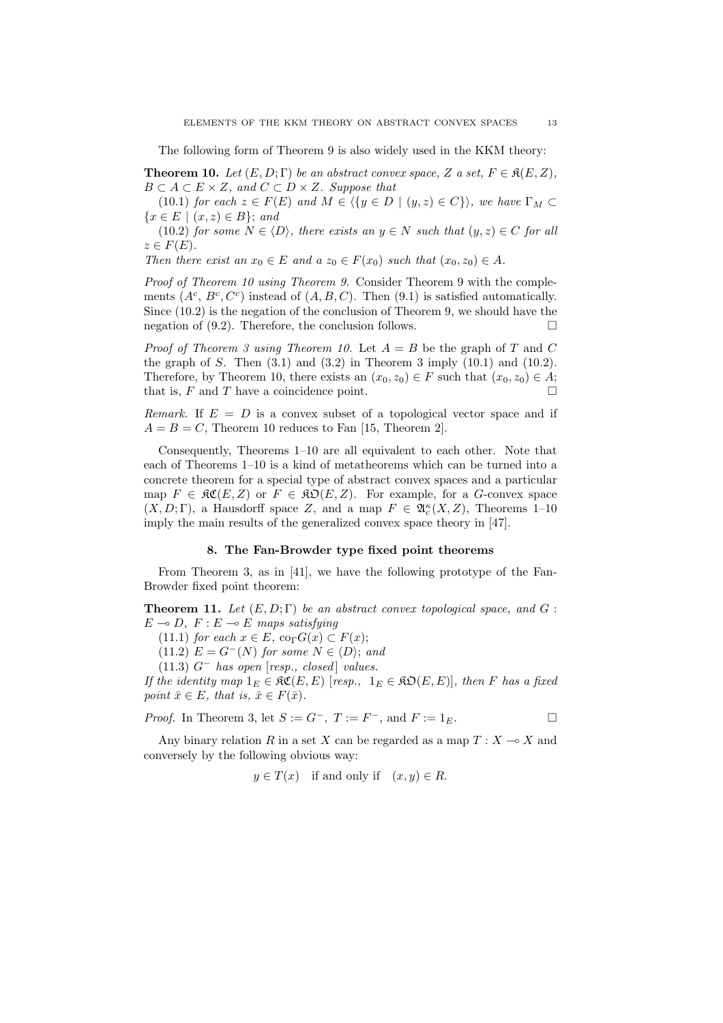The following form of Theorem 9 is also widely used in the KKM theory:

**Theorem 10.** Let  $(E, D; \Gamma)$  be an abstract convex space, Z a set,  $F \in \mathfrak{K}(E, Z)$ ,  $B \subset A \subset E \times Z$ , and  $C \subset D \times Z$ . Suppose that

(10.1) for each  $z \in F(E)$  and  $M \in \langle \{y \in D \mid (y, z) \in C \} \rangle$ , we have  $\Gamma_M \subset$  $\{x \in E \mid (x, z) \in B\};$  and

(10.2) for some  $N \in \langle D \rangle$ , there exists an  $y \in N$  such that  $(y, z) \in C$  for all  $z \in F(E)$ .

Then there exist an  $x_0 \in E$  and  $a z_0 \in F(x_0)$  such that  $(x_0, z_0) \in A$ .

Proof of Theorem 10 using Theorem 9. Consider Theorem 9 with the complements  $(A^c, B^c, C^c)$  instead of  $(A, B, C)$ . Then  $(9.1)$  is satisfied automatically. Since (10.2) is the negation of the conclusion of Theorem 9, we should have the negation of  $(9.2)$ . Therefore, the conclusion follows.

*Proof of Theorem 3 using Theorem 10.* Let  $A = B$  be the graph of T and C the graph of S. Then  $(3.1)$  and  $(3.2)$  in Theorem 3 imply  $(10.1)$  and  $(10.2)$ . Therefore, by Theorem 10, there exists an  $(x_0, z_0) \in F$  such that  $(x_0, z_0) \in A$ ; that is,  $F$  and  $T$  have a coincidence point.  $\Box$ 

Remark. If  $E = D$  is a convex subset of a topological vector space and if  $A = B = C$ , Theorem 10 reduces to Fan [15, Theorem 2].

Consequently, Theorems 1–10 are all equivalent to each other. Note that each of Theorems 1–10 is a kind of metatheorems which can be turned into a concrete theorem for a special type of abstract convex spaces and a particular map  $F \in \mathfrak{RC}(E, Z)$  or  $F \in \mathfrak{RO}(E, Z)$ . For example, for a G-convex space  $(X, D; \Gamma)$ , a Hausdorff space Z, and a map  $F \in \mathfrak{A}_{c}^{\kappa}(X, Z)$ , Theorems 1-10 imply the main results of the generalized convex space theory in [47].

### 8. The Fan-Browder type fixed point theorems

From Theorem 3, as in [41], we have the following prototype of the Fan-Browder fixed point theorem:

**Theorem 11.** Let  $(E, D; \Gamma)$  be an abstract convex topological space, and  $G$ :  $E \multimap D$ ,  $F : E \multimap E$  maps satisfying

(11.1) for each  $x \in E$ , co<sub> $\Gamma$ </sub> $G(x) \subset F(x)$ ;

(11.2)  $E = G^{-}(N)$  for some  $N \in \langle D \rangle$ ; and

(11.3)  $G^-$  has open [resp., closed] values.

If the identity map  $1_E \in \mathfrak{RC}(E, E)$  [resp.,  $1_E \in \mathfrak{RO}(E, E)$ ], then F has a fixed point  $\bar{x} \in E$ , that is,  $\bar{x} \in F(\bar{x})$ .

*Proof.* In Theorem 3, let 
$$
S := G^-
$$
,  $T := F^-$ , and  $F := 1_E$ .

Any binary relation R in a set X can be regarded as a map  $T : X \longrightarrow X$  and conversely by the following obvious way:

 $y \in T(x)$  if and only if  $(x, y) \in R$ .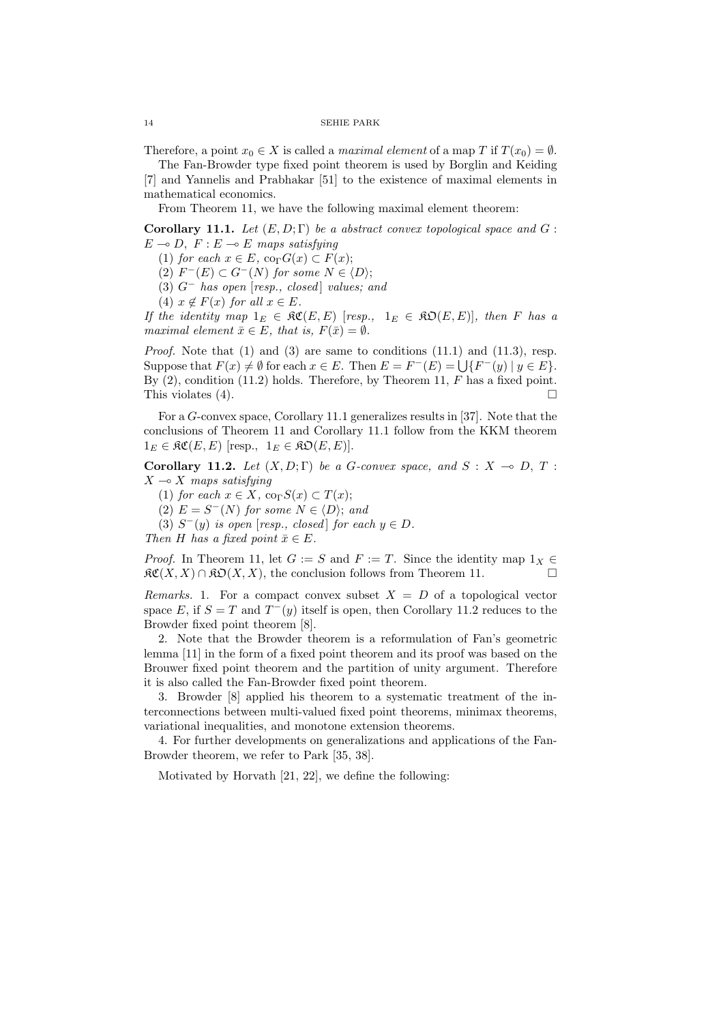Therefore, a point  $x_0 \in X$  is called a *maximal element* of a map T if  $T(x_0) = \emptyset$ . The Fan-Browder type fixed point theorem is used by Borglin and Keiding

[7] and Yannelis and Prabhakar [51] to the existence of maximal elements in mathematical economics.

From Theorem 11, we have the following maximal element theorem:

Corollary 11.1. Let  $(E, D; \Gamma)$  be a abstract convex topological space and G :  $E \multimap D$ ,  $F : E \multimap E$  maps satisfying

(1) for each  $x \in E$ , co<sub> $\Gamma$ </sub> $G(x) \subset F(x)$ ;

(2)  $F^-(E) \subset G^-(N)$  for some  $N \in \langle D \rangle;$ 

(3)  $G^-$  has open [resp., closed] values; and

(4)  $x \notin F(x)$  for all  $x \in E$ .

If the identity map  $1_E \in \mathfrak{RC}(E, E)$  [resp.,  $1_E \in \mathfrak{RO}(E, E)$ ], then F has a maximal element  $\bar{x} \in E$ , that is,  $F(\bar{x}) = \emptyset$ .

*Proof.* Note that  $(1)$  and  $(3)$  are same to conditions  $(11.1)$  and  $(11.3)$ , resp. *Froof.* Note that (1) and (5) are same to conditions (11.1) and (11.5), resp.<br>Suppose that  $F(x) \neq \emptyset$  for each  $x \in E$ . Then  $E = F^{-}(E) = \bigcup \{F^{-}(y) \mid y \in E\}$ . By  $(2)$ , condition  $(11.2)$  holds. Therefore, by Theorem 11, F has a fixed point. This violates  $(4)$ .

For a G-convex space, Corollary 11.1 generalizes results in [37]. Note that the conclusions of Theorem 11 and Corollary 11.1 follow from the KKM theorem  $1_E \in \mathfrak{RC}(E, E)$  [resp.,  $1_E \in \mathfrak{RO}(E, E)$ ].

Corollary 11.2. Let  $(X, D; \Gamma)$  be a G-convex space, and  $S: X \to D, T$ :  $X \rightarrow X$  maps satisfying

(1) for each  $x \in X$ ,  $\operatorname{co}_{\Gamma} S(x) \subset T(x)$ ;

(2)  $E = S^{-1}(N)$  for some  $N \in \langle D \rangle$ ; and

(3)  $S^-(y)$  is open [resp., closed] for each  $y \in D$ .

Then H has a fixed point  $\bar{x} \in E$ .

*Proof.* In Theorem 11, let  $G := S$  and  $F := T$ . Since the identity map  $1_X \in$  $\mathfrak{RC}(X, X) \cap \mathfrak{RO}(X, X)$ , the conclusion follows from Theorem 11.

Remarks. 1. For a compact convex subset  $X = D$  of a topological vector space E, if  $S = T$  and  $T^-(y)$  itself is open, then Corollary 11.2 reduces to the Browder fixed point theorem [8].

2. Note that the Browder theorem is a reformulation of Fan's geometric lemma [11] in the form of a fixed point theorem and its proof was based on the Brouwer fixed point theorem and the partition of unity argument. Therefore it is also called the Fan-Browder fixed point theorem.

3. Browder [8] applied his theorem to a systematic treatment of the interconnections between multi-valued fixed point theorems, minimax theorems, variational inequalities, and monotone extension theorems.

4. For further developments on generalizations and applications of the Fan-Browder theorem, we refer to Park [35, 38].

Motivated by Horvath [21, 22], we define the following: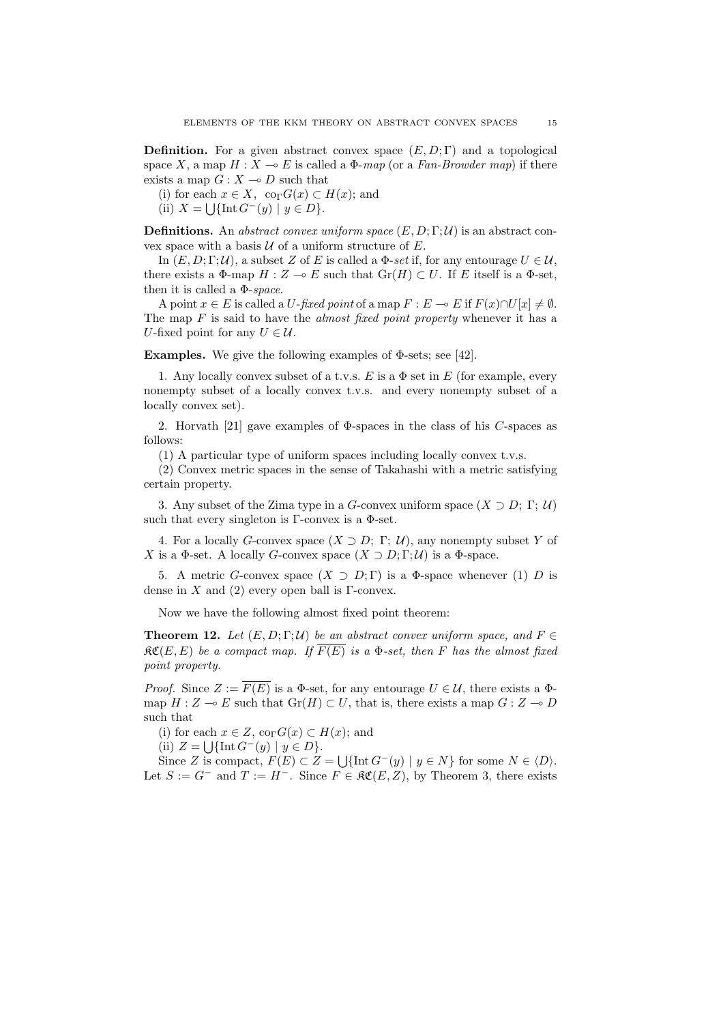**Definition.** For a given abstract convex space  $(E, D; \Gamma)$  and a topological space X, a map  $H : X \to E$  is called a  $\Phi$ -map (or a Fan-Browder map) if there exists a map  $G: X \rightarrow D$  such that

(i) for each  $x \in X$ ,  $\operatorname{co}_{\Gamma}G(x) \subset H(x)$ ; and

(ii)  $X = \bigcup \{ \text{Int } G^-(y) \mid y \in D \}.$ 

**Definitions.** An abstract convex uniform space  $(E, D; \Gamma; \mathcal{U})$  is an abstract convex space with a basis  $U$  of a uniform structure of  $E$ .

In  $(E, D; \Gamma; \mathcal{U})$ , a subset Z of E is called a  $\Phi\text{-}set$  if, for any entourage  $U \in \mathcal{U}$ , there exists a  $\Phi$ -map  $H : Z \multimap E$  such that  $Gr(H) \subset U$ . If E itself is a  $\Phi$ -set, then it is called a  $\Phi$ -space.

A point  $x \in E$  is called a U-fixed point of a map  $F : E \multimap E$  if  $F(x) \cap U[x] \neq \emptyset$ . The map  $F$  is said to have the *almost fixed point property* whenever it has a U-fixed point for any  $U \in \mathcal{U}$ .

**Examples.** We give the following examples of  $\Phi$ -sets; see [42].

1. Any locally convex subset of a t.v.s. E is a  $\Phi$  set in E (for example, every nonempty subset of a locally convex t.v.s. and every nonempty subset of a locally convex set).

2. Horvath [21] gave examples of  $\Phi$ -spaces in the class of his C-spaces as follows:

(1) A particular type of uniform spaces including locally convex t.v.s.

(2) Convex metric spaces in the sense of Takahashi with a metric satisfying certain property.

3. Any subset of the Zima type in a G-convex uniform space  $(X \supset D; \Gamma; \mathcal{U})$ such that every singleton is  $\Gamma$ -convex is a  $\Phi$ -set.

4. For a locally G-convex space  $(X \supset D; \Gamma; \mathcal{U})$ , any nonempty subset Y of X is a  $\Phi$ -set. A locally G-convex space  $(X \supset D; \Gamma; \mathcal{U})$  is a  $\Phi$ -space.

5. A metric G-convex space  $(X \supset D; \Gamma)$  is a  $\Phi$ -space whenever (1) D is dense in X and (2) every open ball is  $\Gamma$ -convex.

Now we have the following almost fixed point theorem:

**Theorem 12.** Let  $(E, D; \Gamma; \mathcal{U})$  be an abstract convex uniform space, and  $F \in$  $\mathfrak{RC}(E, E)$  be a compact map. If  $F(E)$  is a  $\Phi$ -set, then F has the almost fixed point property.

*Proof.* Since  $Z := \overline{F(E)}$  is a  $\Phi$ -set, for any entourage  $U \in \mathcal{U}$ , there exists a  $\Phi$ map  $H : Z \multimap E$  such that  $Gr(H) \subset U$ , that is, there exists a map  $G : Z \multimap D$ such that

(i) for each  $x \in Z$ ,  $\operatorname{co}_{\Gamma}G(x) \subset H(x)$ ; and

(ii)  $Z = \bigcup \{\text{Int } G^-(y) \mid y \in D\}.$ 

(ii)  $Z = \bigcup \{\text{Int } G \mid y \in D\}.$ <br>Since Z is compact,  $F(E) \subset Z = \bigcup \{\text{Int } G^-(y) \mid y \in N\}$  for some  $N \in \langle D \rangle$ . Let  $S := G^-$  and  $T := H^-$ . Since  $F \in \mathfrak{RC}(E, Z)$ , by Theorem 3, there exists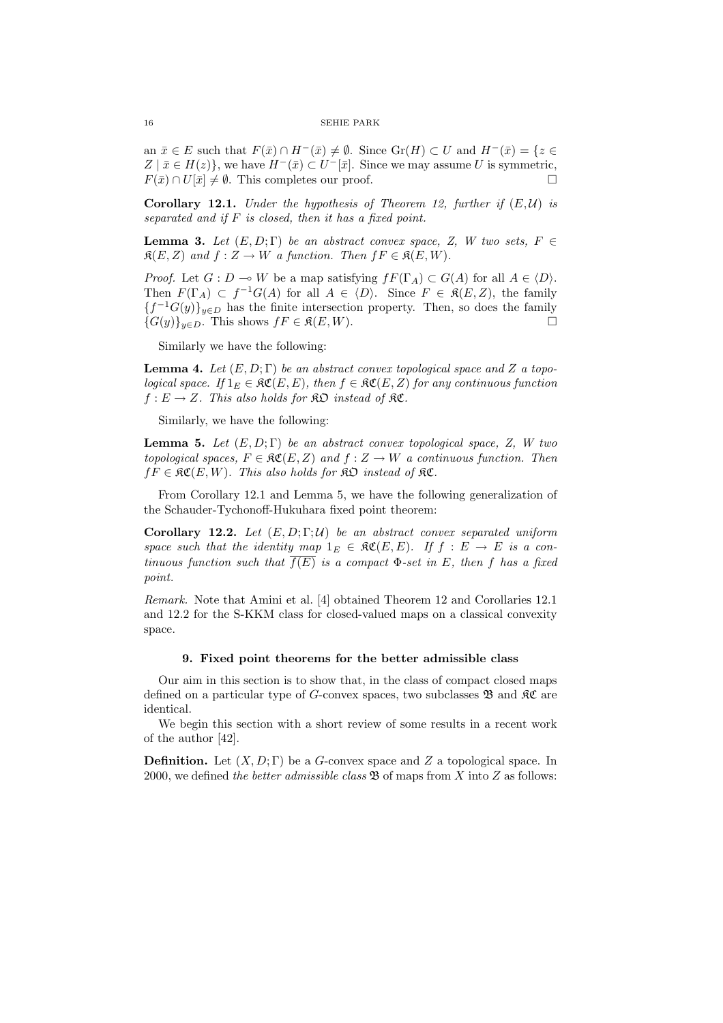an  $\bar{x} \in E$  such that  $F(\bar{x}) \cap H^{-}(\bar{x}) \neq \emptyset$ . Since  $\text{Gr}(H) \subset U$  and  $H^{-}(\bar{x}) = \{z \in$  $Z | \bar{x} \in H(z)$ , we have  $H^{-}(\bar{x}) \subset U^{-}[\bar{x}]$ . Since we may assume U is symmetric,  $F(\bar{x}) \cap U[\bar{x}] \neq \emptyset$ . This completes our proof.

**Corollary 12.1.** Under the hypothesis of Theorem 12, further if  $(E, \mathcal{U})$  is separated and if F is closed, then it has a fixed point.

**Lemma 3.** Let  $(E, D; \Gamma)$  be an abstract convex space, Z, W two sets,  $F \in$  $\mathfrak{K}(E, Z)$  and  $f : Z \to W$  a function. Then  $fF \in \mathfrak{K}(E, W)$ .

*Proof.* Let  $G: D \to W$  be a map satisfying  $fF(\Gamma_A) \subset G(A)$  for all  $A \in \langle D \rangle$ . Then  $F(\Gamma_A) \subset f^{-1}G(A)$  for all  $A \in \langle D \rangle$ . Since  $F \in \mathfrak{K}(E, Z)$ , the family  ${f^{-1}G(y)}_{y\in D}$  has the finite intersection property. Then, so does the family  ${G(y)}_{y\in D}$ . This shows  $fF \in \mathfrak{K}(E, W)$ .

Similarly we have the following:

**Lemma 4.** Let  $(E, D; \Gamma)$  be an abstract convex topological space and Z a topological space. If  $1_E \in \mathfrak{RC}(E, E)$ , then  $f \in \mathfrak{RC}(E, Z)$  for any continuous function  $f: E \to Z$ . This also holds for  $\Re \mathfrak{O}$  instead of  $\Re \mathfrak{C}$ .

Similarly, we have the following:

**Lemma 5.** Let  $(E, D; \Gamma)$  be an abstract convex topological space, Z, W two topological spaces,  $F \in \mathfrak{RC}(E, Z)$  and  $f : Z \to W$  a continuous function. Then  $fF \in \mathfrak{RC}(E, W)$ . This also holds for  $\mathfrak{RD}$  instead of  $\mathfrak{RC}$ .

From Corollary 12.1 and Lemma 5, we have the following generalization of the Schauder-Tychonoff-Hukuhara fixed point theorem:

Corollary 12.2. Let  $(E, D; \Gamma; \mathcal{U})$  be an abstract convex separated uniform space such that the identity map  $1_E \in \mathfrak{RC}(E, E)$ . If  $f : E \to E$  is a continuous function such that  $f(E)$  is a compact  $\Phi$ -set in E, then f has a fixed point.

Remark. Note that Amini et al. [4] obtained Theorem 12 and Corollaries 12.1 and 12.2 for the S-KKM class for closed-valued maps on a classical convexity space.

### 9. Fixed point theorems for the better admissible class

Our aim in this section is to show that, in the class of compact closed maps defined on a particular type of G-convex spaces, two subclasses  $\mathfrak{B}$  and  $\mathfrak{K}$  are identical.

We begin this section with a short review of some results in a recent work of the author [42].

**Definition.** Let  $(X, D; \Gamma)$  be a G-convex space and Z a topological space. In 2000, we defined the better admissible class  $\mathfrak{B}$  of maps from X into Z as follows: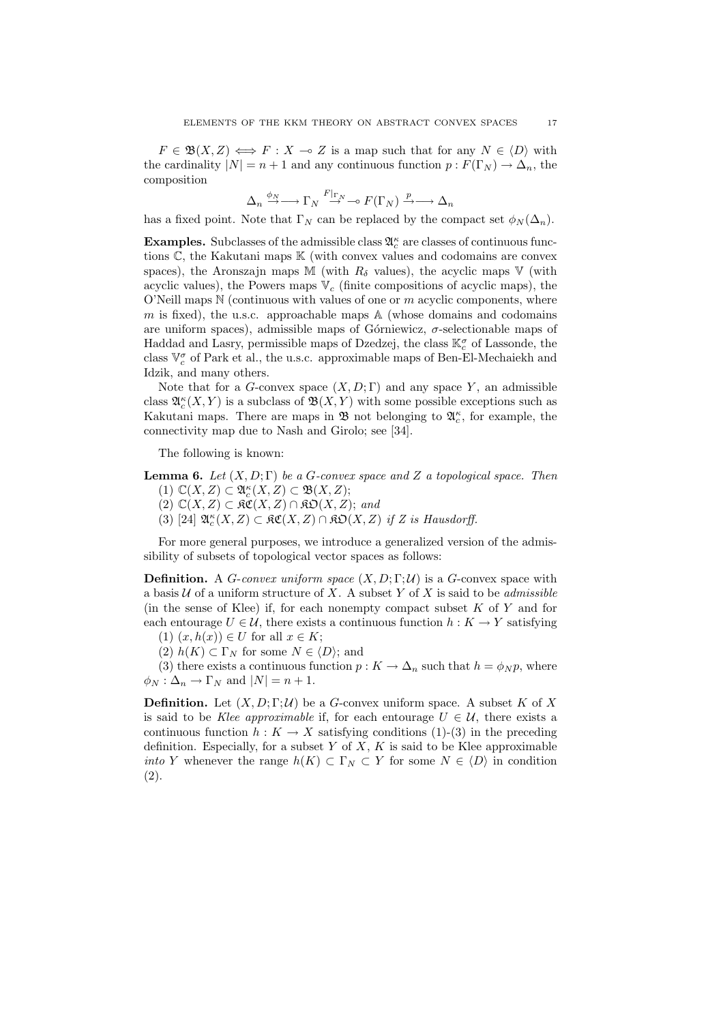$F \in \mathfrak{B}(X,Z) \iff F : X \to Z$  is a map such that for any  $N \in \langle D \rangle$  with the cardinality  $|N| = n + 1$  and any continuous function  $p : F(\Gamma_N) \to \Delta_n$ , the composition

$$
\Delta_n \xrightarrow{\phi_N} \longrightarrow \Gamma_N \xrightarrow{F|_{\Gamma_N}} \longrightarrow F(\Gamma_N) \xrightarrow{p} \longrightarrow \Delta_n
$$

has a fixed point. Note that  $\Gamma_N$  can be replaced by the compact set  $\phi_N(\Delta_n)$ .

**Examples.** Subclasses of the admissible class  $\mathfrak{A}_c^{\kappa}$  are classes of continuous functions  $\mathbb{C}$ , the Kakutani maps  $\mathbb{K}$  (with convex values and codomains are convex spaces), the Aronszajn maps M (with  $R_{\delta}$  values), the acyclic maps V (with acyclic values), the Powers maps  $V_c$  (finite compositions of acyclic maps), the O'Neill maps  $N$  (continuous with values of one or  $m$  acyclic components, where  $m$  is fixed), the u.s.c. approachable maps  $A$  (whose domains and codomains are uniform spaces), admissible maps of Górniewicz,  $\sigma$ -selectionable maps of Haddad and Lasry, permissible maps of Dzedzej, the class  $\mathbb{K}_{c}^{\sigma}$  of Lassonde, the class  $\mathbb{V}^{\sigma}_{c}$  of Park et al., the u.s.c. approximable maps of Ben-El-Mechaiekh and Idzik, and many others.

Note that for a G-convex space  $(X, D; \Gamma)$  and any space Y, an admissible class  $\mathfrak{A}_{c}^{\kappa}(X, Y)$  is a subclass of  $\mathfrak{B}(X, Y)$  with some possible exceptions such as Kakutani maps. There are maps in  $\mathfrak{B}$  not belonging to  $\mathfrak{A}_{c}^{\kappa}$ , for example, the connectivity map due to Nash and Girolo; see [34].

The following is known:

**Lemma 6.** Let  $(X, D; \Gamma)$  be a G-convex space and Z a topological space. Then

- (1)  $\mathbb{C}(X,Z) \subset \mathfrak{A}^{\kappa}_c(X,Z) \subset \mathfrak{B}(X,Z);$
- $(2)$   $\mathbb{C}(X, Z) \subset \mathfrak{RC}(X, Z) \cap \mathfrak{RO}(X, Z);$  and
- (3) [24]  $\mathfrak{A}_{c}^{\kappa}(X,Z) \subset \mathfrak{RC}(X,Z) \cap \mathfrak{RO}(X,Z)$  if Z is Hausdorff.

For more general purposes, we introduce a generalized version of the admissibility of subsets of topological vector spaces as follows:

**Definition.** A G-convex uniform space  $(X, D; \Gamma; \mathcal{U})$  is a G-convex space with a basis  $U$  of a uniform structure of X. A subset Y of X is said to be *admissible* (in the sense of Klee) if, for each nonempty compact subset  $K$  of  $Y$  and for each entourage  $U \in \mathcal{U}$ , there exists a continuous function  $h: K \to Y$  satisfying

(1)  $(x, h(x)) \in U$  for all  $x \in K$ ;

(2)  $h(K) \subset \Gamma_N$  for some  $N \in \langle D \rangle$ ; and

(3) there exists a continuous function  $p: K \to \Delta_n$  such that  $h = \phi_N p$ , where  $\phi_N : \Delta_n \to \Gamma_N$  and  $|N| = n + 1$ .

**Definition.** Let  $(X, D; \Gamma; \mathcal{U})$  be a G-convex uniform space. A subset K of X is said to be Klee approximable if, for each entourage  $U \in \mathcal{U}$ , there exists a continuous function  $h: K \to X$  satisfying conditions (1)-(3) in the preceding definition. Especially, for a subset  $Y$  of  $X$ ,  $K$  is said to be Klee approximable *into* Y whenever the range  $h(K) \subset \Gamma_N \subset Y$  for some  $N \in \langle D \rangle$  in condition (2).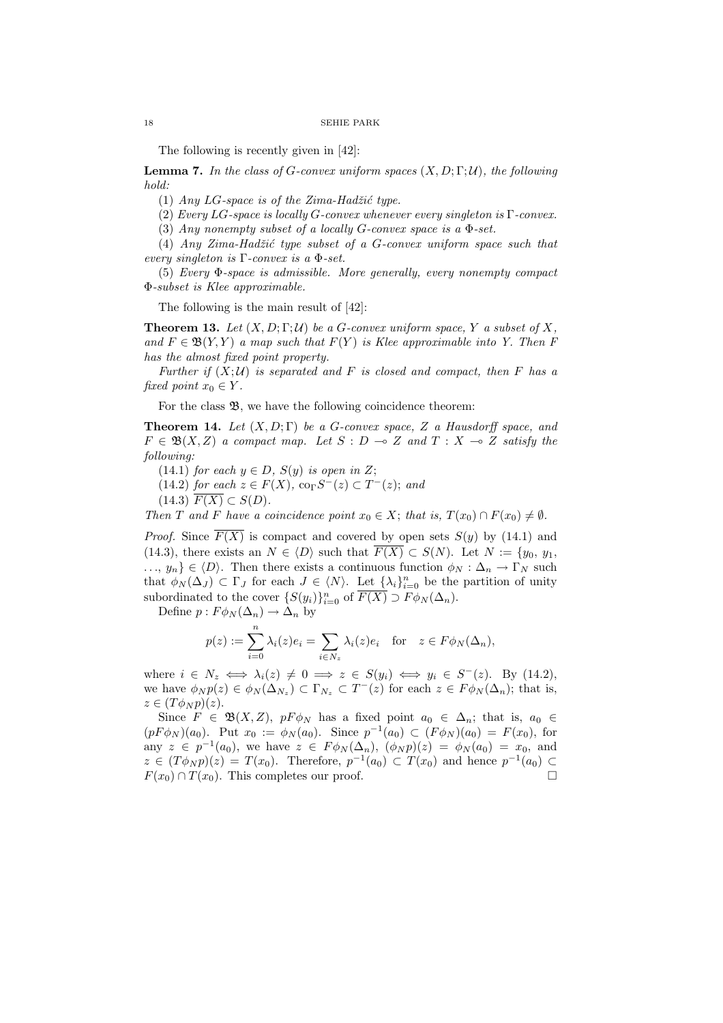The following is recently given in [42]:

**Lemma 7.** In the class of G-convex uniform spaces  $(X, D; \Gamma; \mathcal{U})$ , the following hold:

(1) Any LG-space is of the Zima-Hadžić type.

(2) Every LG-space is locally G-convex whenever every singleton is  $\Gamma$ -convex.

(3) Any nonempty subset of a locally G-convex space is a Φ-set.

(4) Any Zima-Hadžić type subset of a G-convex uniform space such that every singleton is  $\Gamma$ -convex is a  $\Phi$ -set.

(5) Every Φ-space is admissible. More generally, every nonempty compact Φ-subset is Klee approximable.

The following is the main result of [42]:

**Theorem 13.** Let  $(X, D; \Gamma; \mathcal{U})$  be a G-convex uniform space, Y a subset of X, and  $F \in \mathfrak{B}(Y, Y)$  a map such that  $F(Y)$  is Klee approximable into Y. Then F has the almost fixed point property.

Further if  $(X; \mathcal{U})$  is separated and F is closed and compact, then F has a fixed point  $x_0 \in Y$ .

For the class  $\mathfrak{B}$ , we have the following coincidence theorem:

**Theorem 14.** Let  $(X, D; \Gamma)$  be a G-convex space, Z a Hausdorff space, and  $F \in \mathfrak{B}(X,Z)$  a compact map. Let  $S : D \multimap Z$  and  $T : X \multimap Z$  satisfy the following:

(14.1) for each  $y \in D$ ,  $S(y)$  is open in Z;

(14.2) for each  $z \in F(X)$ , co<sub>Γ</sub> $S<sup>-</sup>(z) \subset T<sup>-</sup>(z)$ ; and

(14.3)  $F(X) \subset S(D)$ .

Then T and F have a coincidence point  $x_0 \in X$ ; that is,  $T(x_0) \cap F(x_0) \neq \emptyset$ .

*Proof.* Since  $\overline{F(X)}$  is compact and covered by open sets  $S(y)$  by (14.1) and (14.3), there exists an  $N \in \langle D \rangle$  such that  $\overline{F(X)} \subset S(N)$ . Let  $N := \{y_0, y_1,$  $\ldots, y_n \} \in \langle D \rangle$ . Then there exists a continuous function  $\phi_N : \Delta_n \to \Gamma_N$  such that  $\phi_N(\Delta_J) \subset \Gamma_J$  for each  $J \in \langle N \rangle$ . Let  $\{\lambda_i\}_{i=0}^n$  be the partition of unity subordinated to the cover  $\{S(y_i)\}_{i=0}^n$  of  $\overline{F(X)} \supset F \phi_N(\Delta_n)$ .

Define  $p: F \phi_N(\Delta_n) \to \Delta_n$  by

$$
p(z) := \sum_{i=0}^{n} \lambda_i(z)e_i = \sum_{i \in N_z} \lambda_i(z)e_i \quad \text{for} \quad z \in F\phi_N(\Delta_n),
$$

where  $i \in N_z \iff \lambda_i(z) \neq 0 \implies z \in S(y_i) \iff y_i \in S^-(z)$ . By (14.2), we have  $\phi_N p(z) \in \phi_N(\Delta_{N_z}) \subset \Gamma_{N_z} \subset T^-(z)$  for each  $z \in F \phi_N(\Delta_n)$ ; that is,  $z \in (T\phi_N p)(z).$ 

Since  $F \in \mathfrak{B}(X,Z)$ ,  $pF\phi_N$  has a fixed point  $a_0 \in \Delta_n$ ; that is,  $a_0 \in$  $(pF\phi_N)(a_0)$ . Put  $x_0 := \phi_N(a_0)$ . Since  $p^{-1}(a_0) \subset (F\phi_N)(a_0) = F(x_0)$ , for any  $z \in p^{-1}(a_0)$ , we have  $z \in F \phi_N(\Delta_n)$ ,  $(\phi_N p)(z) = \phi_N(a_0) = x_0$ , and  $z \in (T\phi_N p)(z) = T(x_0)$ . Therefore,  $p^{-1}(a_0) \subset T(x_0)$  and hence  $p^{-1}(a_0) \subset T(x_0)$  $F(x_0) \cap T(x_0)$ . This completes our proof.  $\Box$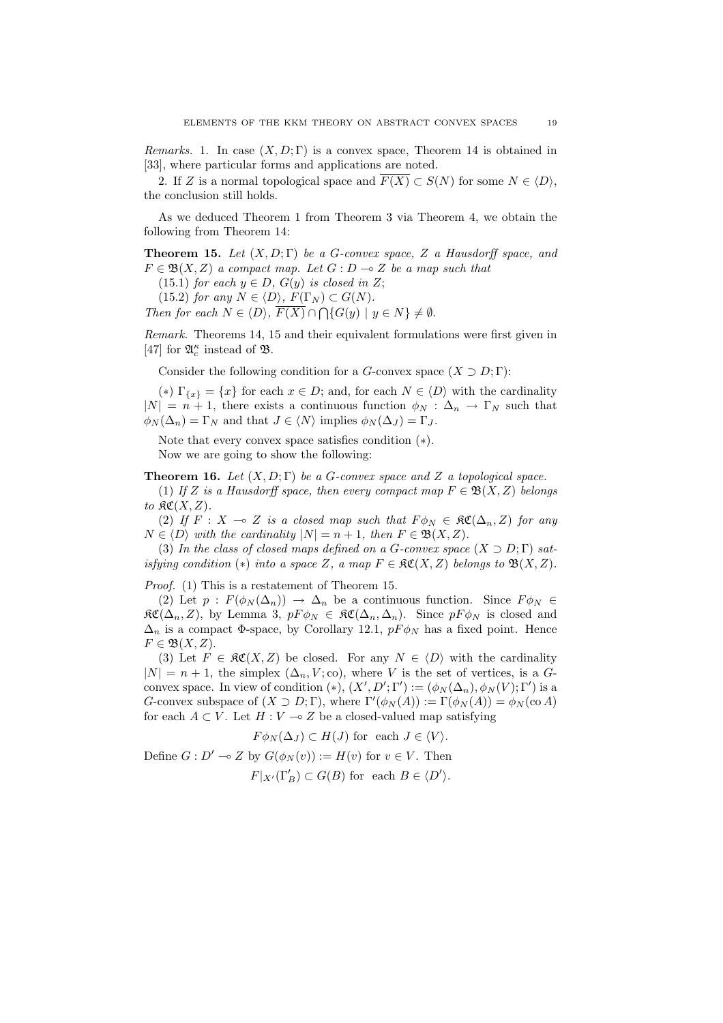Remarks. 1. In case  $(X, D; \Gamma)$  is a convex space, Theorem 14 is obtained in [33], where particular forms and applications are noted.

2. If Z is a normal topological space and  $\overline{F(X)} \subset S(N)$  for some  $N \in \langle D \rangle$ , the conclusion still holds.

As we deduced Theorem 1 from Theorem 3 via Theorem 4, we obtain the following from Theorem 14:

**Theorem 15.** Let  $(X, D; \Gamma)$  be a G-convex space, Z a Hausdorff space, and  $F \in \mathfrak{B}(X,Z)$  a compact map. Let  $G : D \multimap Z$  be a map such that

(15.1) for each  $y \in D$ ,  $G(y)$  is closed in Z;

(15.2) for any  $N \in \langle D \rangle$ ,  $F(\Gamma_N) \subset G(N)$ .

Then for each  $N \in \langle D \rangle$ ,  $F(X) \cap \bigcap \{G(y) \mid y \in N\} \neq \emptyset$ .

Remark. Theorems 14, 15 and their equivalent formulations were first given in [47] for  $\mathfrak{A}^{\kappa}_{c}$  instead of  $\mathfrak{B}.$ 

Consider the following condition for a G-convex space  $(X \supset D; \Gamma)$ :

(\*)  $\Gamma_{\{x\}} = \{x\}$  for each  $x \in D$ ; and, for each  $N \in \langle D \rangle$  with the cardinality  $|N| = n + 1$ , there exists a continuous function  $\phi_N : \Delta_n \to \Gamma_N$  such that  $\phi_N(\Delta_n) = \Gamma_N$  and that  $J \in \langle N \rangle$  implies  $\phi_N(\Delta_J) = \Gamma_J$ .

Note that every convex space satisfies condition (∗). Now we are going to show the following:

**Theorem 16.** Let  $(X, D; \Gamma)$  be a G-convex space and Z a topological space.

(1) If Z is a Hausdorff space, then every compact map  $F \in \mathfrak{B}(X,Z)$  belongs to  $\mathfrak{RC}(X,Z)$ .

(2) If  $F : X \multimap Z$  is a closed map such that  $F \phi_N \in \mathfrak{RC}(\Delta_n, Z)$  for any  $N \in \langle D \rangle$  with the cardinality  $|N| = n + 1$ , then  $F \in \mathfrak{B}(X, Z)$ .

(3) In the class of closed maps defined on a G-convex space  $(X \supset D; \Gamma)$  satisfying condition  $(*)$  into a space Z, a map  $F \in \mathfrak{RC}(X,Z)$  belongs to  $\mathfrak{B}(X,Z)$ .

Proof. (1) This is a restatement of Theorem 15.

(2) Let  $p : F(\phi_N(\Delta_n)) \to \Delta_n$  be a continuous function. Since  $F \phi_N \in$  $\mathfrak{RC}(\Delta_n, Z)$ , by Lemma 3,  $pF\phi_N \in \mathfrak{RC}(\Delta_n, \Delta_n)$ . Since  $pF\phi_N$  is closed and  $\Delta_n$  is a compact  $\Phi$ -space, by Corollary 12.1,  $p \to \phi_N$  has a fixed point. Hence  $F \in \mathfrak{B}(X,Z).$ 

(3) Let  $F \in \mathfrak{RC}(X,Z)$  be closed. For any  $N \in \langle D \rangle$  with the cardinality  $|N| = n + 1$ , the simplex  $(\Delta_n, V; \text{co})$ , where V is the set of vertices, is a Gconvex space. In view of condition  $(*)$ ,  $(X', D'; \Gamma') := (\phi_N(\Delta_n), \phi_N(V); \Gamma')$  is a G-convex subspace of  $(X \supset D; \Gamma)$ , where  $\Gamma'(\phi_N(A)) := \Gamma(\phi_N(A)) = \phi_N(\text{co }A)$ for each  $A \subset V$ . Let  $H : V \to Z$  be a closed-valued map satisfying

$$
F\phi_N(\Delta_J) \subset H(J)
$$
 for each  $J \in \langle V \rangle$ .

Define  $G: D' \to Z$  by  $G(\phi_N(v)) := H(v)$  for  $v \in V$ . Then

$$
F|_{X'}(\Gamma'_B) \subset G(B) \text{ for each } B \in \langle D' \rangle.
$$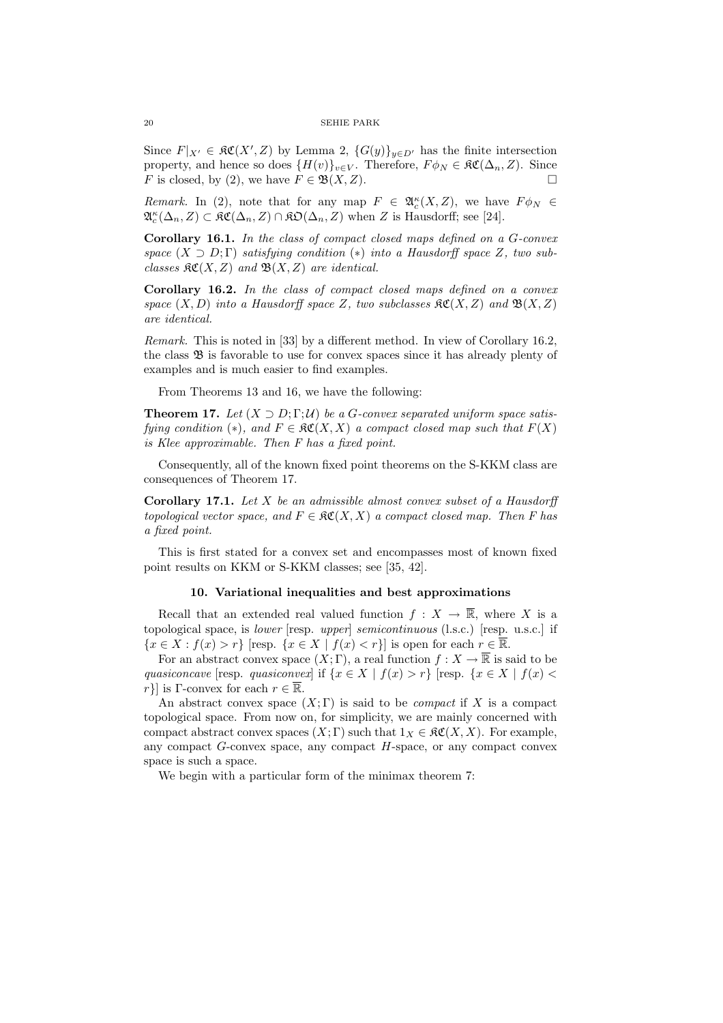Since  $F|_{X'} \in \mathfrak{RC}(X', Z)$  by Lemma 2,  $\{G(y)\}_{y \in D'}$  has the finite intersection property, and hence so does  $\{H(v)\}_{v\in V}$ . Therefore,  $F\phi_N \in \mathfrak{RC}(\Delta_n, Z)$ . Since F is closed, by (2), we have  $F \in \mathfrak{B}(X,Z)$ .

Remark. In (2), note that for any map  $F \in \mathfrak{A}_{c}^{\kappa}(X, Z)$ , we have  $F \phi_N \in$  $\mathfrak{A}_{c}^{\kappa}(\Delta_{n}, Z) \subset \mathfrak{KC}(\Delta_{n}, Z) \cap \mathfrak{KO}(\Delta_{n}, Z)$  when Z is Hausdorff; see [24].

Corollary 16.1. In the class of compact closed maps defined on a G-convex space  $(X \supset D;\Gamma)$  satisfying condition  $(*)$  into a Hausdorff space Z, two subclasses  $\mathfrak{SC}(X,Z)$  and  $\mathfrak{B}(X,Z)$  are identical.

Corollary 16.2. In the class of compact closed maps defined on a convex space  $(X, D)$  into a Hausdorff space Z, two subclasses  $\mathfrak{RC}(X, Z)$  and  $\mathfrak{B}(X, Z)$ are identical.

Remark. This is noted in [33] by a different method. In view of Corollary 16.2, the class  $\mathfrak{B}$  is favorable to use for convex spaces since it has already plenty of examples and is much easier to find examples.

From Theorems 13 and 16, we have the following:

**Theorem 17.** Let  $(X \supset D; \Gamma; \mathcal{U})$  be a G-convex separated uniform space satisfying condition (\*), and  $F \in \mathfrak{RC}(X,X)$  a compact closed map such that  $F(X)$ is Klee approximable. Then F has a fixed point.

Consequently, all of the known fixed point theorems on the S-KKM class are consequences of Theorem 17.

Corollary 17.1. Let X be an admissible almost convex subset of a Hausdorff topological vector space, and  $F \in \mathfrak{RC}(X,X)$  a compact closed map. Then F has a fixed point.

This is first stated for a convex set and encompasses most of known fixed point results on KKM or S-KKM classes; see [35, 42].

### 10. Variational inequalities and best approximations

Recall that an extended real valued function  $f : X \to \overline{\mathbb{R}}$ , where X is a topological space, is lower [resp. upper] semicontinuous (l.s.c.) [resp. u.s.c.] if  ${x \in X : f(x) > r}$  [resp.  ${x \in X | f(x) < r}$ ] is open for each  $r \in \overline{\mathbb{R}}$ .

For an abstract convex space  $(X; \Gamma)$ , a real function  $f : X \to \overline{\mathbb{R}}$  is said to be quasiconcave [resp. quasiconvex] if  $\{x \in X \mid f(x) > r\}$  [resp.  $\{x \in X \mid f(x) < r\}$ ] r}] is Γ-convex for each  $r \in \overline{\mathbb{R}}$ .

An abstract convex space  $(X; \Gamma)$  is said to be *compact* if X is a compact topological space. From now on, for simplicity, we are mainly concerned with compact abstract convex spaces  $(X; \Gamma)$  such that  $1_X \in \mathfrak{RC}(X, X)$ . For example, any compact  $G$ -convex space, any compact  $H$ -space, or any compact convex space is such a space.

We begin with a particular form of the minimax theorem 7: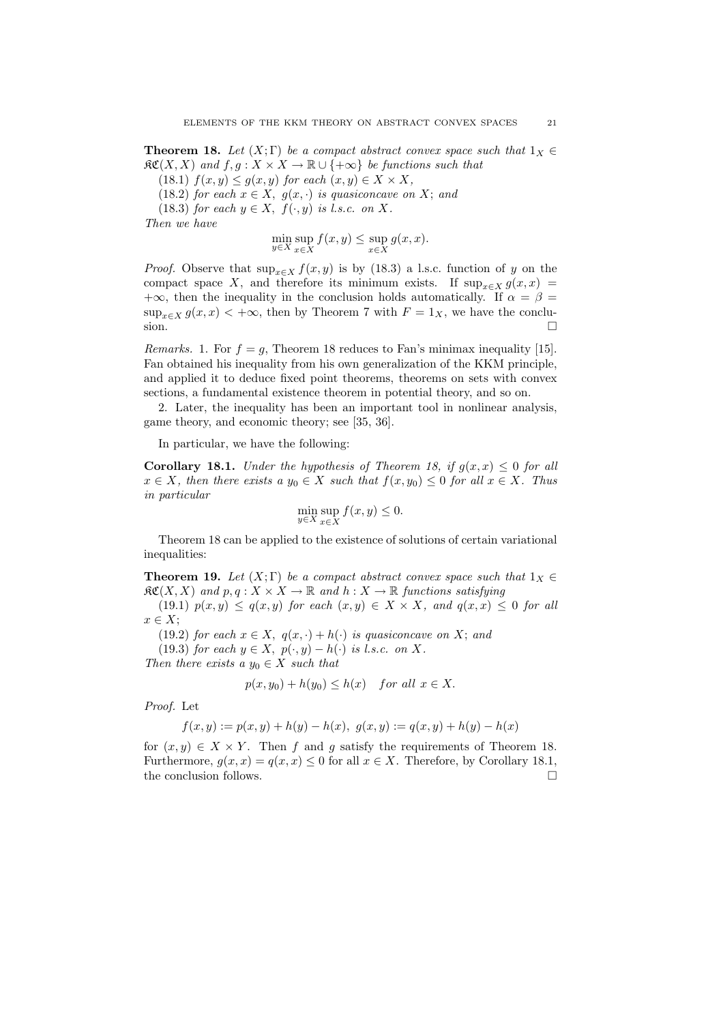**Theorem 18.** Let  $(X; \Gamma)$  be a compact abstract convex space such that  $1_X \in$  $\mathfrak{RC}(X,X)$  and  $f, g: X \times X \to \mathbb{R} \cup \{+\infty\}$  be functions such that

(18.1)  $f(x, y) \leq g(x, y)$  for each  $(x, y) \in X \times X$ ,

(18.2) for each  $x \in X$ ,  $g(x, \cdot)$  is quasiconcave on X; and

(18.3) for each  $y \in X$ ,  $f(\cdot, y)$  is l.s.c. on X.

Then we have

$$
\min_{y \in X} \sup_{x \in X} f(x, y) \le \sup_{x \in X} g(x, x).
$$

*Proof.* Observe that  $\sup_{x \in X} f(x, y)$  is by (18.3) a l.s.c. function of y on the compact space X, and therefore its minimum exists. If  $\sup_{x \in X} g(x, x) =$ +∞, then the inequality in the conclusion holds automatically. If  $\alpha = \beta$  $\sup_{x\in X} g(x,x) < +\infty$ , then by Theorem 7 with  $F = 1_X$ , we have the conclusion.  $\Box$ 

*Remarks.* 1. For  $f = g$ , Theorem 18 reduces to Fan's minimax inequality [15]. Fan obtained his inequality from his own generalization of the KKM principle, and applied it to deduce fixed point theorems, theorems on sets with convex sections, a fundamental existence theorem in potential theory, and so on.

2. Later, the inequality has been an important tool in nonlinear analysis, game theory, and economic theory; see [35, 36].

In particular, we have the following:

**Corollary 18.1.** Under the hypothesis of Theorem 18, if  $g(x, x) \leq 0$  for all  $x \in X$ , then there exists a  $y_0 \in X$  such that  $f(x, y_0) \leq 0$  for all  $x \in X$ . Thus in particular

$$
\min_{y \in X} \sup_{x \in X} f(x, y) \le 0.
$$

Theorem 18 can be applied to the existence of solutions of certain variational inequalities:

**Theorem 19.** Let  $(X;\Gamma)$  be a compact abstract convex space such that  $1_X \in$  $\mathfrak{RC}(X,X)$  and  $p,q: X \times X \to \mathbb{R}$  and  $h: X \to \mathbb{R}$  functions satisfying

(19.1)  $p(x, y) \leq q(x, y)$  for each  $(x, y) \in X \times X$ , and  $q(x, x) \leq 0$  for all  $x \in X$ ;

(19.2) for each  $x \in X$ ,  $q(x, \cdot) + h(\cdot)$  is quasiconcave on X; and

(19.3) for each  $y \in X$ ,  $p(\cdot, y) - h(\cdot)$  is l.s.c. on X.

Then there exists a  $y_0 \in X$  such that

$$
p(x, y_0) + h(y_0) \le h(x) \quad for all x \in X.
$$

Proof. Let

$$
f(x, y) := p(x, y) + h(y) - h(x), \ g(x, y) := q(x, y) + h(y) - h(x)
$$

for  $(x, y) \in X \times Y$ . Then f and g satisfy the requirements of Theorem 18. Furthermore,  $g(x, x) = q(x, x) \leq 0$  for all  $x \in X$ . Therefore, by Corollary 18.1, the conclusion follows.  $\Box$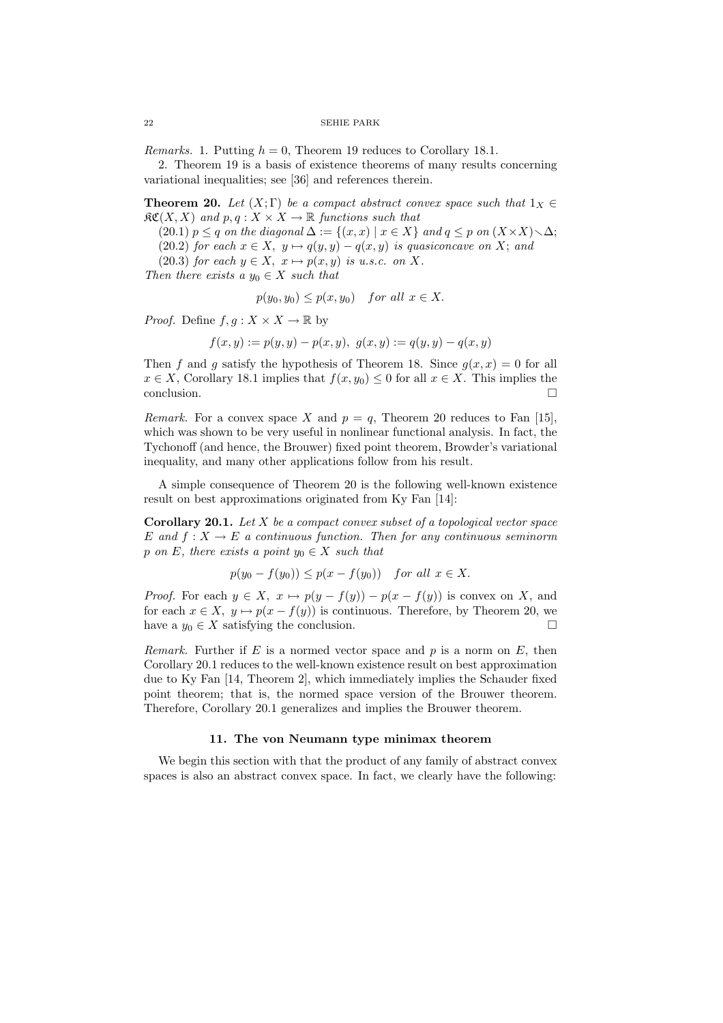*Remarks.* 1. Putting  $h = 0$ , Theorem 19 reduces to Corollary 18.1.

2. Theorem 19 is a basis of existence theorems of many results concerning variational inequalities; see [36] and references therein.

**Theorem 20.** Let  $(X;\Gamma)$  be a compact abstract convex space such that  $1_X \in$  $\mathfrak{RC}(X,X)$  and  $p,q:X\times X\to\mathbb{R}$  functions such that

(20.1)  $p \leq q$  on the diagonal  $\Delta := \{(x, x) \mid x \in X\}$  and  $q \leq p$  on  $(X \times X) \setminus \Delta;$ (20.2) for each  $x \in X$ ,  $y \mapsto q(y, y) - q(x, y)$  is quasiconcave on X; and

(20.3) for each  $y \in X$ ,  $x \mapsto p(x, y)$  is u.s.c. on X.

Then there exists a  $y_0 \in X$  such that

$$
p(y_0, y_0) \le p(x, y_0) \quad \text{for all } x \in X.
$$

*Proof.* Define  $f, g: X \times X \to \mathbb{R}$  by

 $f(x, y) := p(y, y) - p(x, y), g(x, y) := q(y, y) - q(x, y)$ 

Then f and g satisfy the hypothesis of Theorem 18. Since  $g(x, x) = 0$  for all  $x \in X$ , Corollary 18.1 implies that  $f(x, y_0) \leq 0$  for all  $x \in X$ . This implies the conclusion.  $\Box$ 

Remark. For a convex space X and  $p = q$ , Theorem 20 reduces to Fan [15], which was shown to be very useful in nonlinear functional analysis. In fact, the Tychonoff (and hence, the Brouwer) fixed point theorem, Browder's variational inequality, and many other applications follow from his result.

A simple consequence of Theorem 20 is the following well-known existence result on best approximations originated from Ky Fan [14]:

**Corollary 20.1.** Let  $X$  be a compact convex subset of a topological vector space E and  $f: X \to E$  a continuous function. Then for any continuous seminorm p on E, there exists a point  $y_0 \in X$  such that

$$
p(y_0 - f(y_0)) \le p(x - f(y_0)) \quad for all x \in X.
$$

*Proof.* For each  $y \in X$ ,  $x \mapsto p(y - f(y)) - p(x - f(y))$  is convex on X, and for each  $x \in X$ ,  $y \mapsto p(x - f(y))$  is continuous. Therefore, by Theorem 20, we have a  $y_0 \in X$  satisfying the conclusion.  $\Box$ 

Remark. Further if E is a normed vector space and p is a norm on E, then Corollary 20.1 reduces to the well-known existence result on best approximation due to Ky Fan [14, Theorem 2], which immediately implies the Schauder fixed point theorem; that is, the normed space version of the Brouwer theorem. Therefore, Corollary 20.1 generalizes and implies the Brouwer theorem.

## 11. The von Neumann type minimax theorem

We begin this section with that the product of any family of abstract convex spaces is also an abstract convex space. In fact, we clearly have the following: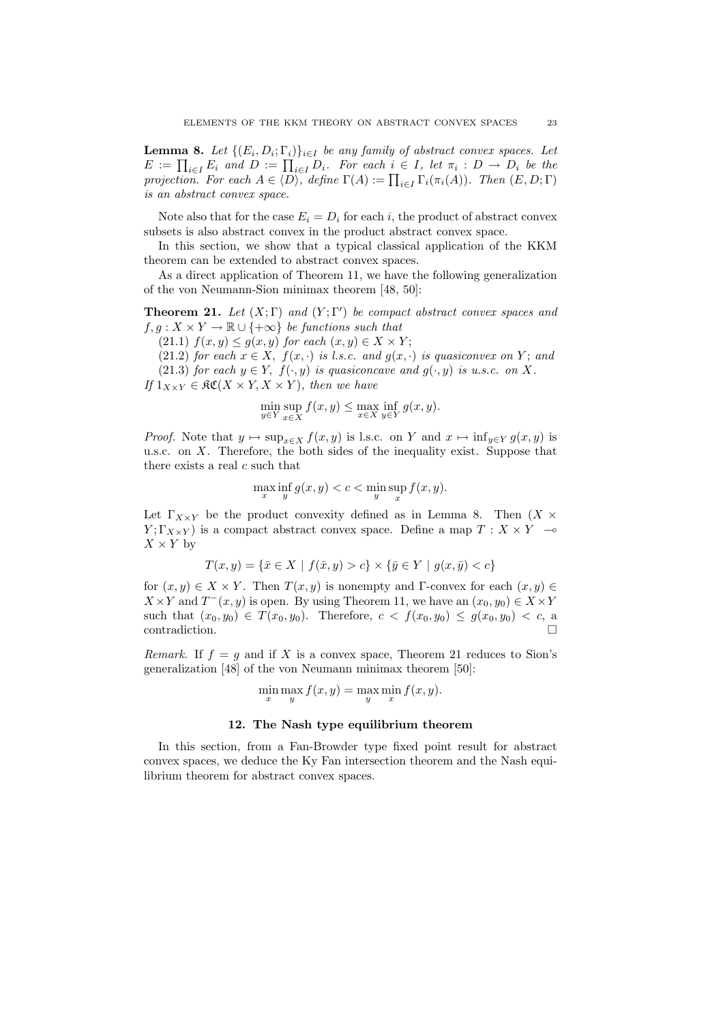**Lemma 8.** Let  $\{(E_i, D_i; \Gamma_i)\}_{i \in I}$  be any family of abstract convex spaces. Let **Lemma 8.** Let  $\{(E_i, D_i; I_i)\}_{i \in I}$  be any family of abstract convex spaces. Let  $E := \prod_{i \in I} E_i$  and  $D := \prod_{i \in I} D_i$ . For each  $i \in I$ , let  $\pi_i : D \to D_i$  be the  $E := \prod_{i \in I} E_i$  and  $D := \prod_{i \in I} D_i$ . For each  $i \in I$ , let  $\pi_i : D \to D_i$  be the projection. For each  $A \in \langle D \rangle$ , define  $\Gamma(A) := \prod_{i \in I} \Gamma_i(\pi_i(A))$ . Then  $(E, D; \Gamma)$ is an abstract convex space.

Note also that for the case  $E_i = D_i$  for each i, the product of abstract convex subsets is also abstract convex in the product abstract convex space.

In this section, we show that a typical classical application of the KKM theorem can be extended to abstract convex spaces.

As a direct application of Theorem 11, we have the following generalization of the von Neumann-Sion minimax theorem [48, 50]:

**Theorem 21.** Let  $(X;\Gamma)$  and  $(Y;\Gamma')$  be compact abstract convex spaces and  $f, g: X \times Y \to \mathbb{R} \cup \{+\infty\}$  be functions such that

(21.1)  $f(x, y) \le g(x, y)$  for each  $(x, y) \in X \times Y$ ;

(21.2) for each  $x \in X$ ,  $f(x, \cdot)$  is l.s.c. and  $g(x, \cdot)$  is quasiconvex on Y; and (21.3) for each  $y \in Y$ ,  $f(\cdot, y)$  is quasiconcave and  $g(\cdot, y)$  is u.s.c. on X.

If  $1_{X\times Y} \in \mathfrak{RC}(X \times Y, X \times Y)$ , then we have

$$
\min_{y \in Y} \sup_{x \in X} f(x, y) \le \max_{x \in X} \inf_{y \in Y} g(x, y).
$$

*Proof.* Note that  $y \mapsto \sup_{x \in X} f(x, y)$  is l.s.c. on Y and  $x \mapsto \inf_{y \in Y} g(x, y)$  is u.s.c. on  $X$ . Therefore, the both sides of the inequality exist. Suppose that there exists a real  $c$  such that

$$
\max_x \inf_y g(x,y) < c < \min_y \sup_x f(x,y).
$$

Let  $\Gamma_{X\times Y}$  be the product convexity defined as in Lemma 8. Then  $(X\times Y)$  $Y; \Gamma_{X\times Y}$  is a compact abstract convex space. Define a map  $T: X \times Y \longrightarrow$  $X \times Y$  by

$$
T(x, y) = \{ \bar{x} \in X \mid f(\bar{x}, y) > c \} \times \{ \bar{y} \in Y \mid g(x, \bar{y}) < c \}
$$

for  $(x, y) \in X \times Y$ . Then  $T(x, y)$  is nonempty and Γ-convex for each  $(x, y) \in Y$  $X \times Y$  and  $T^-(x, y)$  is open. By using Theorem 11, we have an  $(x_0, y_0) \in X \times Y$ such that  $(x_0, y_0) \in T(x_0, y_0)$ . Therefore,  $c < f(x_0, y_0) \le g(x_0, y_0) < c$ , a  $\Box$ contradiction.  $\Box$ 

Remark. If  $f = g$  and if X is a convex space, Theorem 21 reduces to Sion's generalization [48] of the von Neumann minimax theorem [50]:

$$
\min_{x} \max_{y} f(x, y) = \max_{y} \min_{x} f(x, y).
$$

# 12. The Nash type equilibrium theorem

In this section, from a Fan-Browder type fixed point result for abstract convex spaces, we deduce the Ky Fan intersection theorem and the Nash equilibrium theorem for abstract convex spaces.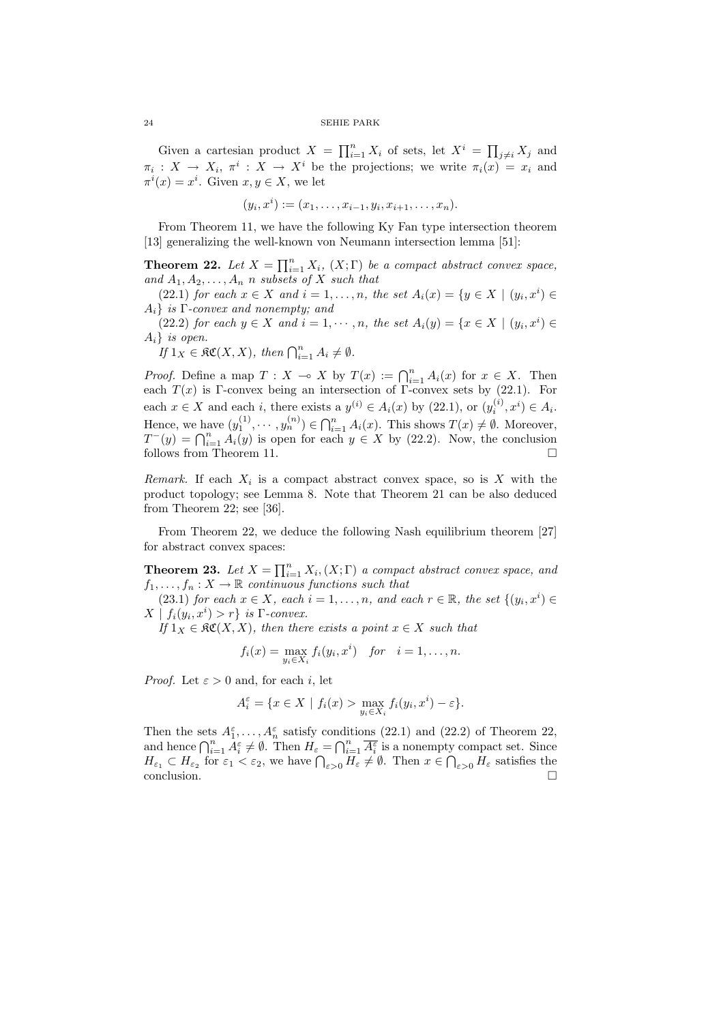Given a cartesian product  $X = \prod_{i=1}^n X_i$  of sets, let  $X^i = \prod_{j \neq i} X_j$  and  $\pi_i: X \to X_i, \pi^i: X \to X^i$  be the projections; we write  $\pi_i(x) = x_i$  and  $\pi^i(x) = x^i$ . Given  $x, y \in X$ , we let

$$
(y_i, x^i) := (x_1, \dots, x_{i-1}, y_i, x_{i+1}, \dots, x_n).
$$

From Theorem 11, we have the following Ky Fan type intersection theorem [13] generalizing the well-known von Neumann intersection lemma [51]:

**Theorem 22.** Let  $X = \prod_{i=1}^{n} X_i$ ,  $(X; \Gamma)$  be a compact abstract convex space, and  $A_1, A_2, \ldots, A_n$  n subsets of X such that

(22.1) for each  $x \in X$  and  $i = 1, \ldots, n$ , the set  $A_i(x) = \{y \in X \mid (y_i, x^i) \in X\}$  $A_i$ } is  $\Gamma$ -convex and nonempty; and

(22.2) for each  $y \in X$  and  $i = 1, \dots, n$ , the set  $A_i(y) = \{x \in X \mid (y_i, x^i) \in X\}$  $A_i$  is open.

 $If \ 1_X \in \mathfrak{RC}(X,X),\ then \ \bigcap_{i=1}^n A_i \neq \emptyset.$ 

*Proof.* Define a map  $T : X \to X$  by  $T(x) := \bigcap_{i=1}^{n} A_i(x)$  for  $x \in X$ . Then each  $T(x)$  is Γ-convex being an intersection of Γ-convex sets by (22.1). For each  $x \in X$  and each i, there exists a  $y^{(i)} \in A_i(x)$  by  $(22.1)$ , or  $(y_i^{(i)}, x^i) \in A_i$ . Hence, we have  $(y_1^{(1)}, \dots, y_n^{(n)}) \in \bigcap_{i=1}^n A_i(x)$ . This shows  $T(x) \neq \emptyset$ . Moreover, Thence, we have  $(y_1^{\infty}, \dots, y_n^{\infty}) \in \prod_{i=1} A_i(x)$ . This shows  $I(x) \neq \emptyset$ . Moreover,<br> $T^-(y) = \bigcap_{i=1}^n A_i(y)$  is open for each  $y \in X$  by (22.2). Now, the conclusion follows from Theorem 11.

Remark. If each  $X_i$  is a compact abstract convex space, so is X with the product topology; see Lemma 8. Note that Theorem 21 can be also deduced from Theorem 22; see [36].

From Theorem 22, we deduce the following Nash equilibrium theorem [27] for abstract convex spaces:

**Theorem 23.** Let  $X = \prod_{i=1}^{n} X_i$ ,  $(X; \Gamma)$  a compact abstract convex space, and  $f_1, \ldots, f_n : X \to \mathbb{R}$  continuous functions such that

(23.1) for each  $x \in X$ , each  $i = 1, ..., n$ , and each  $r \in \mathbb{R}$ , the set  $\{(y_i, x^i) \in$  $X | f_i(y_i, x^i) > r$ } is  $\Gamma$ -convex.

If  $1_X \in \mathfrak{RC}(X,X)$ , then there exists a point  $x \in X$  such that

$$
f_i(x) = \max_{y_i \in X_i} f_i(y_i, x^i) \quad \text{for} \quad i = 1, \dots, n.
$$

*Proof.* Let  $\varepsilon > 0$  and, for each i, let

$$
A_i^{\varepsilon} = \{ x \in X \mid f_i(x) > \max_{y_i \in X_i} f_i(y_i, x^i) - \varepsilon \}.
$$

Then the sets  $A_1^{\varepsilon}, \ldots, A_n^{\varepsilon}$  satisfy conditions (22.1) and (22.2) of Theorem 22, Then the sets  $A_1, \ldots, A_n$  satisfy conditions (22.1) and (22.2) or Theorem 22,<br>and hence  $\bigcap_{i=1}^n A_i^{\varepsilon} \neq \emptyset$ . Then  $H_{\varepsilon} = \bigcap_{i=1}^n \overline{A_i^{\varepsilon}}$  is a nonempty compact set. Since and nence  $\bigcup_{i=1}^{\infty} A_i \neq \emptyset$ . Then  $H_{\varepsilon} = \bigcup_{i=1}^{\infty} A_i^{\tau}$  is a nonempty compact set. Since  $H_{\varepsilon_1} \subset H_{\varepsilon_2}$  for  $\varepsilon_1 < \varepsilon_2$ , we have  $\bigcap_{\varepsilon > 0} H_{\varepsilon} \neq \emptyset$ . Then  $x \in \bigcap_{\varepsilon > 0} H_{\varepsilon}$  satisfie conclusion.  $\Box$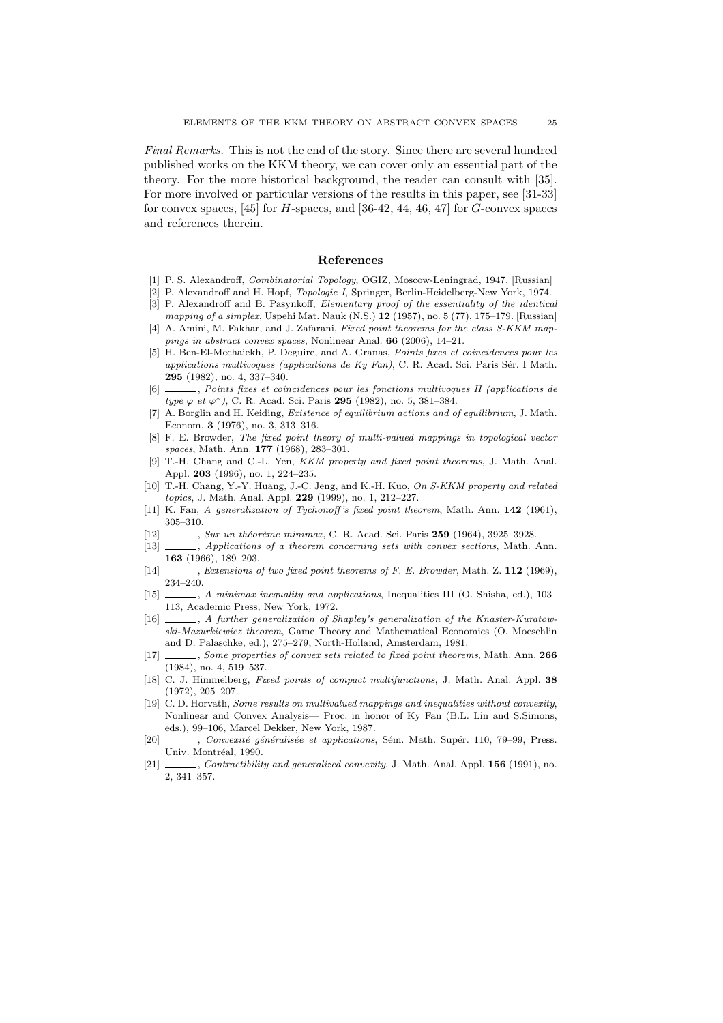Final Remarks. This is not the end of the story. Since there are several hundred published works on the KKM theory, we can cover only an essential part of the theory. For the more historical background, the reader can consult with [35]. For more involved or particular versions of the results in this paper, see [31-33] for convex spaces, [45] for  $H$ -spaces, and [36-42, 44, 46, 47] for  $G$ -convex spaces and references therein.

# References

- [1] P. S. Alexandroff, Combinatorial Topology, OGIZ, Moscow-Leningrad, 1947. [Russian]
- [2] P. Alexandroff and H. Hopf, Topologie I, Springer, Berlin-Heidelberg-New York, 1974. [3] P. Alexandroff and B. Pasynkoff, Elementary proof of the essentiality of the identical
- mapping of a simplex, Uspehi Mat. Nauk (N.S.) 12 (1957), no. 5 (77), 175–179. [Russian] [4] A. Amini, M. Fakhar, and J. Zafarani, Fixed point theorems for the class S-KKM mappings in abstract convex spaces, Nonlinear Anal. 66 (2006), 14–21.
- [5] H. Ben-El-Mechaiekh, P. Deguire, and A. Granas, Points fixes et coincidences pour les applications multivoques (applications de Ky Fan), C. R. Acad. Sci. Paris Sér. I Math. 295 (1982), no. 4, 337–340.
- [6] , Points fixes et coincidences pour les fonctions multivoques II (applications de type  $\varphi$  et  $\varphi^*$ ), C. R. Acad. Sci. Paris 295 (1982), no. 5, 381-384.
- [7] A. Borglin and H. Keiding, Existence of equilibrium actions and of equilibrium, J. Math. Econom. 3 (1976), no. 3, 313–316.
- [8] F. E. Browder, The fixed point theory of multi-valued mappings in topological vector spaces, Math. Ann. **177** (1968), 283-301.
- [9] T.-H. Chang and C.-L. Yen, KKM property and fixed point theorems, J. Math. Anal. Appl. 203 (1996), no. 1, 224–235.
- [10] T.-H. Chang, Y.-Y. Huang, J.-C. Jeng, and K.-H. Kuo, On S-KKM property and related topics, J. Math. Anal. Appl. 229 (1999), no. 1, 212–227.
- [11] K. Fan, A generalization of Tychonoff's fixed point theorem, Math. Ann. 142 (1961), 305–310.
- [12] , Sur un théorème minimax, C. R. Acad. Sci. Paris 259 (1964), 3925-3928.
- [13]  $\_\_\_\_\$  Applications of a theorem concerning sets with convex sections, Math. Ann. 163 (1966), 189–203.
- [14] , Extensions of two fixed point theorems of F. E. Browder, Math. Z. 112 (1969), 234–240.
- [15]  $\_\_\_\_\$ , A minimax inequality and applications, Inequalities III (O. Shisha, ed.), 103– 113, Academic Press, New York, 1972.
- [16] , A further generalization of Shapley's generalization of the Knaster-Kuratowski-Mazurkiewicz theorem, Game Theory and Mathematical Economics (O. Moeschlin and D. Palaschke, ed.), 275–279, North-Holland, Amsterdam, 1981.
- [17] \_\_\_\_\_\_, Some properties of convex sets related to fixed point theorems, Math. Ann. 266 (1984), no. 4, 519–537.
- [18] C. J. Himmelberg, Fixed points of compact multifunctions, J. Math. Anal. Appl. 38 (1972), 205–207.
- [19] C. D. Horvath, Some results on multivalued mappings and inequalities without convexity, Nonlinear and Convex Analysis— Proc. in honor of Ky Fan (B.L. Lin and S.Simons, eds.), 99–106, Marcel Dekker, New York, 1987.
- [20] , Convexité généralisée et applications, Sém. Math. Supér. 110, 79–99, Press. Univ. Montréal, 1990.
- [21]  $\_\_\_\_\$ , Contractibility and generalized convexity, J. Math. Anal. Appl. 156 (1991), no. 2, 341–357.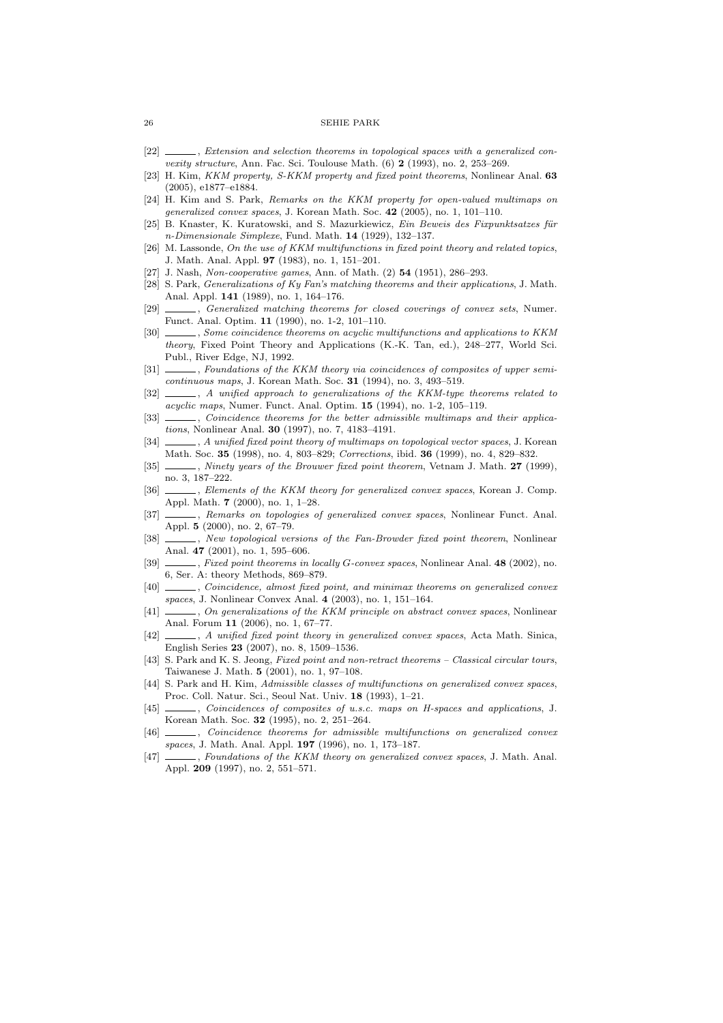- [22] \_\_\_\_\_, Extension and selection theorems in topological spaces with a generalized convexity structure, Ann. Fac. Sci. Toulouse Math.  $(6)$  2 (1993), no. 2, 253–269.
- [23] H. Kim, KKM property, S-KKM property and fixed point theorems, Nonlinear Anal. 63 (2005), e1877–e1884.
- [24] H. Kim and S. Park, Remarks on the KKM property for open-valued multimaps on generalized convex spaces, J. Korean Math. Soc. 42 (2005), no. 1, 101–110.
- [25] B. Knaster, K. Kuratowski, and S. Mazurkiewicz, Ein Beweis des Fixpunktsatzes für n-Dimensionale Simplexe, Fund. Math. 14 (1929), 132–137.
- [26] M. Lassonde, On the use of KKM multifunctions in fixed point theory and related topics, J. Math. Anal. Appl. 97 (1983), no. 1, 151–201.
- [27] J. Nash, Non-cooperative games, Ann. of Math. (2) **54** (1951), 286-293.
- [28] S. Park, Generalizations of Ky Fan's matching theorems and their applications, J. Math. Anal. Appl. 141 (1989), no. 1, 164–176.
- [29] \_\_\_\_, Generalized matching theorems for closed coverings of convex sets, Numer. Funct. Anal. Optim. 11 (1990), no. 1-2, 101–110.
- [30] , Some coincidence theorems on acyclic multifunctions and applications to KKM theory, Fixed Point Theory and Applications (K.-K. Tan, ed.), 248–277, World Sci. Publ., River Edge, NJ, 1992.
- [31]  $\_\_\_\_\$  Foundations of the KKM theory via coincidences of composites of upper semicontinuous maps, J. Korean Math. Soc. 31 (1994), no. 3, 493–519.
- [32]  $\_\_\_\_\_\$ , A unified approach to generalizations of the KKM-type theorems related to acyclic maps, Numer. Funct. Anal. Optim. 15 (1994), no. 1-2, 105–119.
- [33]  $\_\_\_\_\_$  Coincidence theorems for the better admissible multimaps and their applications, Nonlinear Anal. 30 (1997), no. 7, 4183–4191.
- [34]  $\ldots$ , A unified fixed point theory of multimaps on topological vector spaces, J. Korean Math. Soc. 35 (1998), no. 4, 803–829; Corrections, ibid. 36 (1999), no. 4, 829–832.
- [35] , Ninety years of the Brouwer fixed point theorem, Vetnam J. Math. 27 (1999), no. 3, 187–222.
- [36] \_\_\_\_, Elements of the KKM theory for generalized convex spaces, Korean J. Comp. Appl. Math. 7 (2000), no. 1, 1–28.
- [37] *Simmarks on topologies of generalized convex spaces*, Nonlinear Funct. Anal. Appl. 5 (2000), no. 2, 67–79.
- [38]  $\_\_\_\_\_\_\_\_\_\_\_\_\_\_\_\_\_\_\_\_\_\_\_\_\_\_\_\_\_\.\_$  New topological versions of the Fan-Browder fixed point theorem, Nonlinear Anal. 47 (2001), no. 1, 595–606.
- [39]  $\_\_\_\_\$  Fixed point theorems in locally G-convex spaces, Nonlinear Anal. 48 (2002), no. 6, Ser. A: theory Methods, 869–879.
- [40] Coincidence, almost fixed point, and minimax theorems on generalized convex spaces, J. Nonlinear Convex Anal. 4 (2003), no. 1, 151–164.
- [41]  $\ldots$ , On generalizations of the KKM principle on abstract convex spaces, Nonlinear Anal. Forum 11 (2006), no. 1, 67–77.
- [42]  $\ldots$ , A unified fixed point theory in generalized convex spaces, Acta Math. Sinica, English Series 23 (2007), no. 8, 1509–1536.
- [43] S. Park and K. S. Jeong, Fixed point and non-retract theorems Classical circular tours, Taiwanese J. Math. 5 (2001), no. 1, 97–108.
- [44] S. Park and H. Kim, Admissible classes of multifunctions on generalized convex spaces, Proc. Coll. Natur. Sci., Seoul Nat. Univ. 18 (1993), 1–21.
- [45] Coincidences of composites of u.s.c. maps on H-spaces and applications, J. Korean Math. Soc. 32 (1995), no. 2, 251–264.
- [46] , Coincidence theorems for admissible multifunctions on generalized convex spaces, J. Math. Anal. Appl. 197 (1996), no. 1, 173-187.
- [47] \_\_\_\_\_, Foundations of the KKM theory on generalized convex spaces, J. Math. Anal. Appl. 209 (1997), no. 2, 551–571.